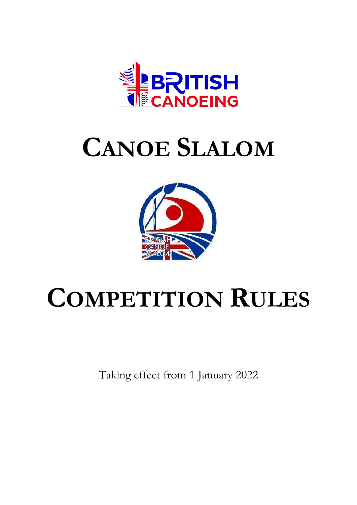

# **CANOE SLALOM**



# **COMPETITION RULES**

Taking effect from 1 January 2022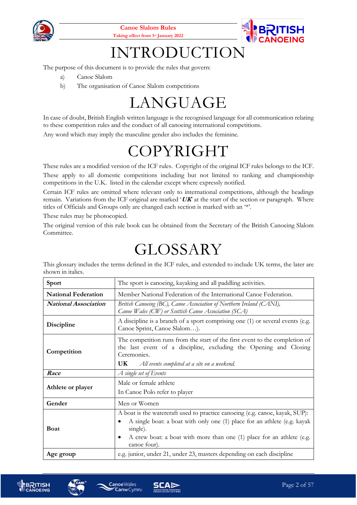



## INTRODUCTION

The purpose of this document is to provide the rules that govern:

- a) Canoe Slalom
- b) The organisation of Canoe Slalom competitions

## LANGUAGE

In case of doubt, British English written language is the recognised language for all communication relating to these competition rules and the conduct of all canoeing international competitions. Any word which may imply the masculine gender also includes the feminine.

## COPYRIGHT

These rules are a modified version of the ICF rules. Copyright of the original ICF rules belongs to the ICF. These apply to all domestic competitions including but not limited to ranking and championship competitions in the U.K. listed in the calendar except where expressly notified.

Certain ICF rules are omitted where relevant only to international competitions, although the headings remain. Variations from the ICF original are marked '**UK**' at the start of the section or paragraph. Where titles of Officials and Groups only are changed each section is marked with an '\*'.

These rules may be photocopied.

The original version of this rule book can be obtained from the Secretary of the British Canoeing Slalom Committee.

## GLOSSARY

This glossary includes the terms defined in the ICF rules, and extended to include UK terms, the later are shown in italics.

| Sport                       | The sport is canoeing, kayaking and all paddling activities.                                                                                                                                                                                                       |  |  |
|-----------------------------|--------------------------------------------------------------------------------------------------------------------------------------------------------------------------------------------------------------------------------------------------------------------|--|--|
| <b>National Federation</b>  | Member National Federation of the International Canoe Federation.                                                                                                                                                                                                  |  |  |
| <b>National Association</b> | British Canoeing (BC), Canoe Association of Northern Ireland (CANI),<br>Canoe Wales (CW) or Scottish Canoe Association (SCA)                                                                                                                                       |  |  |
| Discipline                  | A discipline is a branch of a sport comprising one (1) or several events (e.g.<br>Canoe Sprint, Canoe Slalom).                                                                                                                                                     |  |  |
| Competition                 | The competition runs from the start of the first event to the completion of<br>the last event of a discipline, excluding the Opening and Closing<br>Ceremonies.<br>UK.<br>All events completed at a site on a weekend.                                             |  |  |
| Race                        | A single set of Events                                                                                                                                                                                                                                             |  |  |
| Athlete or player           | Male or female athlete                                                                                                                                                                                                                                             |  |  |
|                             | In Canoe Polo refer to player                                                                                                                                                                                                                                      |  |  |
| Gender                      | Men or Women                                                                                                                                                                                                                                                       |  |  |
| <b>Boat</b>                 | A boat is the watercraft used to practice canoeing (e.g. canoe, kayak, SUP):<br>A single boat: a boat with only one (1) place for an athlete (e.g. kayak<br>single).<br>A crew boat: a boat with more than one (1) place for an athlete (e.g.<br>٠<br>canoe four). |  |  |
| Age group                   | e.g. junior, under 21, under 23, masters depending on each discipline                                                                                                                                                                                              |  |  |





**Canoe**Wales

**Canw** Cymru

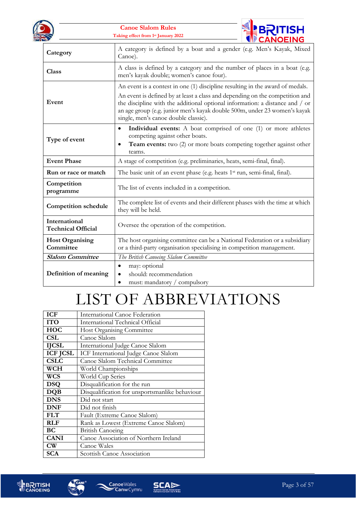



| Category                                   | A category is defined by a boat and a gender (e.g. Men's Kayak, Mixed<br>Canoe).                                                                                                                                                                                                                                                                                   |  |
|--------------------------------------------|--------------------------------------------------------------------------------------------------------------------------------------------------------------------------------------------------------------------------------------------------------------------------------------------------------------------------------------------------------------------|--|
| <b>Class</b>                               | A class is defined by a category and the number of places in a boat (e.g.<br>men's kayak double; women's canoe four).                                                                                                                                                                                                                                              |  |
| Event                                      | An event is a contest in one (1) discipline resulting in the award of medals.<br>An event is defined by at least a class and depending on the competition and<br>the discipline with the additional optional information: a distance and / or<br>an age group (e.g. junior men's kayak double 500m, under 23 women's kayak<br>single, men's canoe double classic). |  |
| Type of event                              | Individual events: A boat comprised of one (1) or more athletes<br>$\bullet$<br>competing against other boats.<br><b>Team events:</b> two (2) or more boats competing together against other<br>٠<br>teams.                                                                                                                                                        |  |
| <b>Event Phase</b>                         | A stage of competition (e.g. preliminaries, heats, semi-final, final).                                                                                                                                                                                                                                                                                             |  |
| Run or race or match                       | The basic unit of an event phase (e.g. heats 1 <sup>st</sup> run, semi-final, final).                                                                                                                                                                                                                                                                              |  |
| Competition<br>programme                   | The list of events included in a competition.                                                                                                                                                                                                                                                                                                                      |  |
| <b>Competition schedule</b>                | The complete list of events and their different phases with the time at which<br>they will be held.                                                                                                                                                                                                                                                                |  |
| International<br><b>Technical Official</b> | Oversee the operation of the competition.                                                                                                                                                                                                                                                                                                                          |  |
| <b>Host Organising</b><br>Committee        | The host organising committee can be a National Federation or a subsidiary<br>or a third-party organisation specialising in competition management.                                                                                                                                                                                                                |  |
| <b>Slalom Committee</b>                    | The British Canoeing Slalom Committee                                                                                                                                                                                                                                                                                                                              |  |
| Definition of meaning                      | may: optional<br>$\bullet$<br>should: recommendation<br>must: mandatory / compulsory<br>$\bullet$                                                                                                                                                                                                                                                                  |  |

## LIST OF ABBREVIATIONS

| <b>ICF</b>      | International Canoe Federation                 |
|-----------------|------------------------------------------------|
| <b>ITO</b>      | International Technical Official               |
| <b>HOC</b>      | Host Organising Committee                      |
| <b>CSL</b>      | Canoe Slalom                                   |
| <b>IJCSL</b>    | International Judge Canoe Slalom               |
| <b>ICF JCSL</b> | ICF International Judge Canoe Slalom           |
| <b>CSLC</b>     | Canoe Slalom Technical Committee               |
| <b>WCH</b>      | World Championships                            |
| WCS             | World Cup Series                               |
| <b>DSQ</b>      | Disqualification for the run                   |
| <b>DQB</b>      | Disqualification for unsportsmanlike behaviour |
| <b>DNS</b>      | Did not start                                  |
| <b>DNF</b>      | Did not finish                                 |
| <b>FLT</b>      | Fault (Extreme Canoe Slalom)                   |
| <b>RLF</b>      | Rank as Lowest (Extreme Canoe Slalom)          |
| BC              | <b>British Canoeing</b>                        |
| <b>CANI</b>     | Canoe Association of Northern Ireland          |
| $\text{CW}$     | Canoe Wales                                    |
| <b>SCA</b>      | Scottish Canoe Association                     |



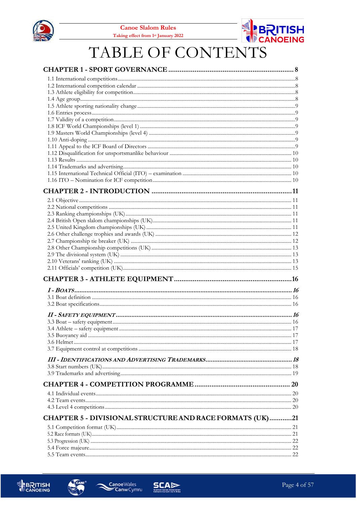



## TABLE OF CONTENTS

| CHAPTER 5 - DIVISIONAL STRUCTURE AND RACE FORMATS (UK)21 |  |
|----------------------------------------------------------|--|
|                                                          |  |
|                                                          |  |
|                                                          |  |
|                                                          |  |
|                                                          |  |



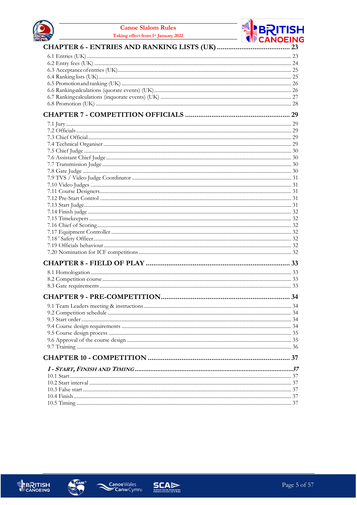



#### CHAPTER 6 - ENTRIES AND RANKING LISTS (UK) ......................

#### 





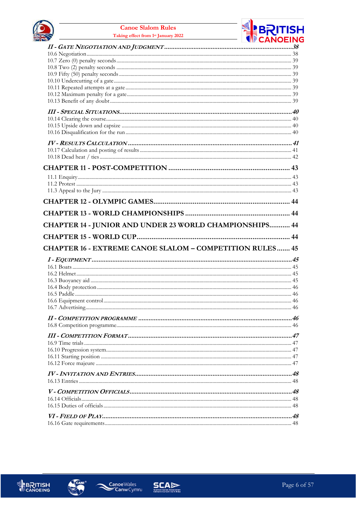





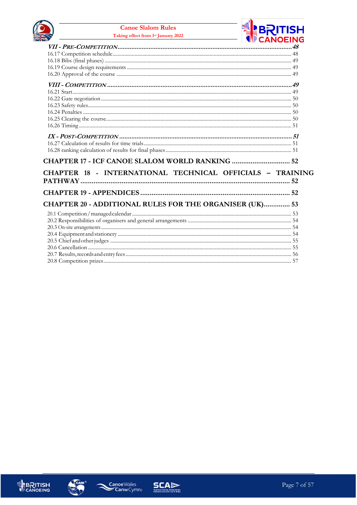



| CHAPTER 17 - ICF CANOE SLALOM WORLD RANKING  52           |  |
|-----------------------------------------------------------|--|
| CHAPTER 18 - INTERNATIONAL TECHNICAL OFFICIALS - TRAINING |  |
|                                                           |  |
|                                                           |  |
| CHAPTER 20 - ADDITIONAL RULES FOR THE ORGANISER (UK) 53   |  |
|                                                           |  |
|                                                           |  |
|                                                           |  |
|                                                           |  |
|                                                           |  |
|                                                           |  |
|                                                           |  |
|                                                           |  |







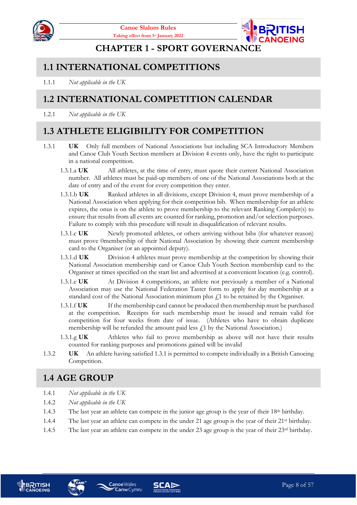



#### **CHAPTER 1 - SPORT GOVERNANCE**

#### <span id="page-7-1"></span><span id="page-7-0"></span>**1.1 INTERNATIONAL COMPETITIONS**

1.1.1 *Not applicable in the UK*

#### <span id="page-7-2"></span>**1.2 INTERNATIONAL COMPETITION CALENDAR**

1.2.1 *Not applicable in the UK*

#### <span id="page-7-3"></span>**1.3 ATHLETE ELIGIBILITY FOR COMPETITION**

- <span id="page-7-5"></span>1.3.1 **UK** Only full members of National Associations but including SCA Introductory Members and Canoe Club Youth Section members at Division 4 events only, have the right to participate in a national competition.
	- 1.3.1.a **UK** All athletes, at the time of entry, must quote their current National Association number. All athletes must be paid-up members of one of the National Associations both at the date of entry and of the event for every competition they enter.
	- 1.3.1.b **UK** Ranked athletes in all divisions, except Division 4, must prove membership of a National Association when applying for their competition bib. When membership for an athlete expires, the onus is on the athlete to prove membership to the relevant Ranking Compiler(s) to ensure that results from all events are counted for ranking, promotion and/or selection purposes. Failure to comply with this procedure will result in disqualification of relevant results.
	- 1.3.1.c **UK** Newly promoted athletes, or others arriving without bibs (for whatever reason) must prove 0membership of their National Association by showing their current membership card to the Organiser (or an appointed deputy).
	- 1.3.1.d **UK** Division 4 athletes must prove membership at the competition by showing their National Association membership card or Canoe Club Youth Section membership card to the Organiser at times specified on the start list and advertised at a convenient location (e.g. control).
	- 1.3.1.e **UK** At Division 4 competitions, an athlete not previously a member of a National Association may use the National Federation Taster form to apply for day membership at a standard cost of the National Association minimum plus  $\mathcal{L}1$  to be retained by the Organiser.
	- 1.3.1.f **UK** If the membership card cannot be produced then membership must be purchased at the competition. Receipts for such membership must be issued and remain valid for competition for four weeks from date of issue. (Athletes who have to obtain duplicate membership will be refunded the amount paid less  $f_1$  by the National Association.)
	- 1.3.1.g **UK** Athletes who fail to prove membership as above will not have their results counted for ranking purposes and promotions gained will be invalid
- 1.3.2 **UK** An athlete having satisfie[d 1.3.1](#page-7-5) is permitted to compete individually in a British Canoeing Competition.

## <span id="page-7-4"></span>**1.4 AGE GROUP**

- 1.4.1 *Not applicable in the UK*
- 1.4.2 *Not applicable in the UK*
- 1.4.3 The last year an athlete can compete in the junior age group is the year of their 18th birthday.
- 1.4.4 The last year an athlete can compete in the under 21 age group is the year of their 21st birthday.
- 1.4.5 The last year an athlete can compete in the under 23 age group is the year of their 23rd birthday.





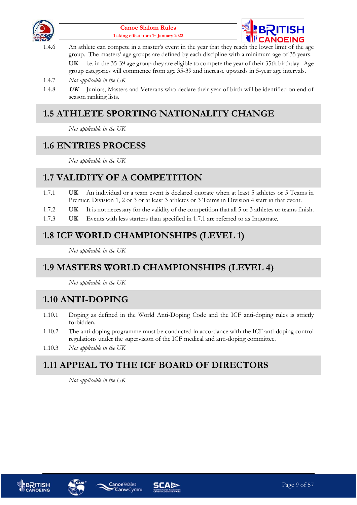



<span id="page-8-8"></span>1.4.6 An athlete can compete in a master's event in the year that they reach the lower limit of the age group. The masters' age groups are defined by each discipline with a minimum age of 35 years.

**UK** i.e. in the 35-39 age group they are eligible to compete the year of their 35th birthday. Age group categories will commence from age 35-39 and increase upwards in 5-year age intervals.

- 1.4.7 *Not applicable in the UK*
- 1.4.8 **UK** Juniors, Masters and Veterans who declare their year of birth will be identified on end of season ranking lists.

## <span id="page-8-0"></span>**1.5 ATHLETE SPORTING NATIONALITY CHANGE**

*Not applicable in the UK*

#### <span id="page-8-1"></span>**1.6 ENTRIES PROCESS**

<span id="page-8-7"></span>*Not applicable in the UK*

## <span id="page-8-2"></span>**1.7 VALIDITY OF A COMPETITION**

- 1.7.1 **UK** An individual or a team event is declared quorate when at least 5 athletes or 5 Teams in Premier, Division 1, 2 or 3 or at least 3 athletes or 3 Teams in Division 4 start in that event.
- 1.7.2 **UK** It is not necessary for the validity of the competition that all 5 or 3 athletes or teams finish.
- 1.7.3 **UK** Events with less starters than specified in [1.7.1](#page-8-7) are referred to as Inquorate.

#### <span id="page-8-3"></span>**1.8 ICF WORLD CHAMPIONSHIPS (LEVEL 1)**

*Not applicable in the UK*

#### <span id="page-8-4"></span>**1.9 MASTERS WORLD CHAMPIONSHIPS (LEVEL 4)**

*Not applicable in the UK*

#### <span id="page-8-5"></span>**1.10 ANTI-DOPING**

- 1.10.1 Doping as defined in the World Anti-Doping Code and the ICF anti-doping rules is strictly forbidden.
- 1.10.2 The anti-doping programme must be conducted in accordance with the ICF anti-doping control regulations under the supervision of the ICF medical and anti-doping committee.
- 1.10.3 *Not applicable in the UK*

## <span id="page-8-6"></span>**1.11 APPEAL TO THE ICF BOARD OF DIRECTORS**

*Not applicable in the UK*







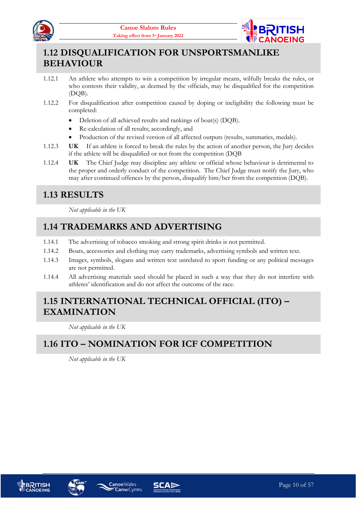



## <span id="page-9-0"></span>**1.12 DISQUALIFICATION FOR UNSPORTSMANLIKE BEHAVIOUR**

- 1.12.1 An athlete who attempts to win a competition by irregular means, wilfully breaks the rules, or who contests their validity, as deemed by the officials, may be disqualified for the competition (DQB).
- 1.12.2 For disqualification after competition caused by doping or ineligibility the following must be completed:
	- Deletion of all achieved results and rankings of boat(s) (DQB).
	- Re-calculation of all results; accordingly, and
	- Production of the revised version of all affected outputs (results, summaries, medals).
- 1.12.3 **UK** If an athlete is forced to break the rules by the action of another person, the Jury decides if the athlete will be disqualified or not from the competition (DQB
- 1.12.4 **UK** The Chief Judge may discipline any athlete or official whose behaviour is detrimental to the proper and orderly conduct of the competition. The Chief Judge must notify the Jury, who may after continued offences by the person, disqualify him/her from the competition (DQB).

#### <span id="page-9-1"></span>**1.13 RESULTS**

*Not applicable in the UK*

#### <span id="page-9-2"></span>**1.14 TRADEMARKS AND ADVERTISING**

- 1.14.1 The advertising of tobacco smoking and strong spirit drinks is not permitted.
- 1.14.2 Boats, accessories and clothing may carry trademarks, advertising symbols and written text.
- 1.14.3 Images, symbols, slogans and written text unrelated to sport funding or any political messages are not permitted.
- 1.14.4 All advertising materials used should be placed in such a way that they do not interfere with athletes' identification and do not affect the outcome of the race.

#### <span id="page-9-3"></span>**1.15 INTERNATIONAL TECHNICAL OFFICIAL (ITO) – EXAMINATION**

*Not applicable in the UK*

## <span id="page-9-4"></span>**1.16 ITO – NOMINATION FOR ICF COMPETITION**

*Not applicable in the UK*







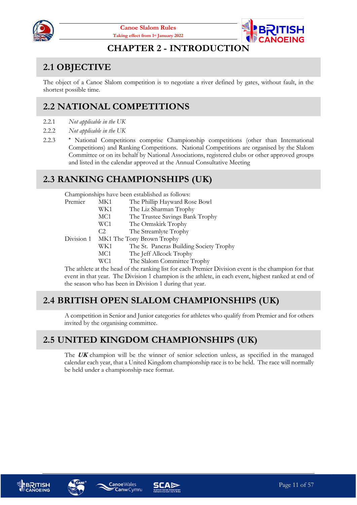



#### **CHAPTER 2 - INTRODUCTION**

## <span id="page-10-1"></span><span id="page-10-0"></span>**2.1 OBJECTIVE**

The object of a Canoe Slalom competition is to negotiate a river defined by gates, without fault, in the shortest possible time.

## <span id="page-10-2"></span>**2.2 NATIONAL COMPETITIONS**

- 2.2.1 *Not applicable in the UK*
- 2.2.2 *Not applicable in the UK*
- 2.2.3 **\*** National Competitions comprise Championship competitions (other than International Competitions) and Ranking Competitions. National Competitions are organised by the Slalom Committee or on its behalf by National Associations, registered clubs or other approved groups and listed in the calendar approved at the Annual Consultative Meeting

#### <span id="page-10-3"></span>**2.3 RANKING CHAMPIONSHIPS (UK)**

Championships have been established as follows:

| Premier    | MK1            | The Phillip Hayward Rose Bowl           |
|------------|----------------|-----------------------------------------|
|            | WK1            | The Liz Sharman Trophy                  |
|            | MC1            | The Trustee Savings Bank Trophy         |
|            | WC1            | The Ormskirk Trophy                     |
|            | C <sub>2</sub> | The Streamlyte Trophy                   |
| Division 1 |                | MK1 The Tony Brown Trophy               |
|            | WK1            | The St. Pancras Building Society Trophy |
|            | MC1            | The Jeff Allcock Trophy                 |
|            | WC1            | The Slalom Committee Trophy             |
| ויחי       | $-1$ 1         | $1$ $c_{1}$ $1$ $1$ $c_{2}$ $1$ $n$     |

The athlete at the head of the ranking list for each Premier Division event is the champion for that event in that year. The Division 1 champion is the athlete, in each event, highest ranked at end of the season who has been in Division 1 during that year.

#### <span id="page-10-4"></span>**2.4 BRITISH OPEN SLALOM CHAMPIONSHIPS (UK)**

A competition in Senior and Junior categories for athletes who qualify from Premier and for others invited by the organising committee.

## <span id="page-10-5"></span>**2.5 UNITED KINGDOM CHAMPIONSHIPS (UK)**

The **UK** champion will be the winner of senior selection unless, as specified in the managed calendar each year, that a United Kingdom championship race is to be held. The race will normally be held under a championship race format.







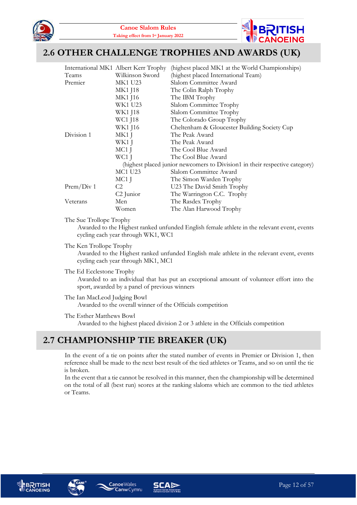



#### <span id="page-11-0"></span>**2.6 OTHER CHALLENGE TROPHIES AND AWARDS (UK)**

|            | International MK1 Albert Kerr Trophy | (highest placed MK1 at the World Championships)                             |
|------------|--------------------------------------|-----------------------------------------------------------------------------|
| Teams      | Wilkinson Sword                      | (highest placed International Team)                                         |
| Premier    | <b>MK1 U23</b>                       | Slalom Committee Award                                                      |
|            | <b>MK1 J18</b>                       | The Colin Ralph Trophy                                                      |
|            | MK1 J16                              | The IBM Trophy                                                              |
|            | WK1 U23                              | Slalom Committee Trophy                                                     |
|            | WK1 J18                              | Slalom Committee Trophy                                                     |
|            | WC1 J18                              | The Colorado Group Trophy                                                   |
|            | WK1 J16                              | Cheltenham & Gloucester Building Society Cup                                |
| Division 1 | MK1 J                                | The Peak Award                                                              |
|            | WK1 J                                | The Peak Award                                                              |
|            | MC1 J                                | The Cool Blue Award                                                         |
|            | WC1 J                                | The Cool Blue Award                                                         |
|            |                                      | (highest placed junior newcomers to Division1 in their respective category) |
|            | MC1 U23<br>Slalom Committee Award    |                                                                             |
|            | MC1 J                                | The Simon Warden Trophy                                                     |
| Prem/Div 1 | C <sub>2</sub>                       | U23 The David Smith Trophy                                                  |
|            | C <sub>2</sub> Junior                | The Warrington C.C. Trophy                                                  |
| Veterans   | Men                                  | The Rasdex Trophy                                                           |
|            | Women                                | The Alan Harwood Trophy                                                     |

#### The Sue Trollope Trophy

Awarded to the Highest ranked unfunded English female athlete in the relevant event, events cycling each year through WK1, WC1

The Ken Trollope Trophy

Awarded to the Highest ranked unfunded English male athlete in the relevant event, events cycling each year through MK1, MC1

The Ed Ecclestone Trophy

Awarded to an individual that has put an exceptional amount of volunteer effort into the sport, awarded by a panel of previous winners

- The Ian MacLeod Judging Bowl Awarded to the overall winner of the Officials competition
- The Esther Matthews Bowl Awarded to the highest placed division 2 or 3 athlete in the Officials competition

#### <span id="page-11-1"></span>**2.7 CHAMPIONSHIP TIE BREAKER (UK)**

In the event of a tie on points after the stated number of events in Premier or Division 1, then reference shall be made to the next best result of the tied athletes or Teams, and so on until the tie is broken.

In the event that a tie cannot be resolved in this manner, then the championship will be determined on the total of all (best run) scores at the ranking slaloms which are common to the tied athletes or Teams.







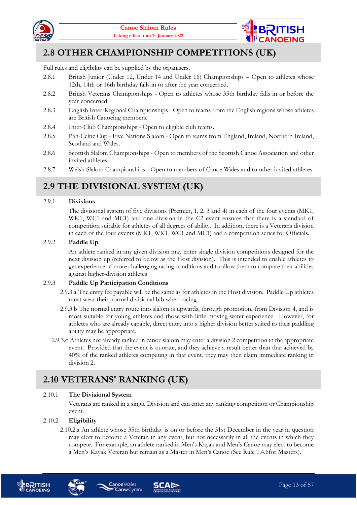



#### <span id="page-12-0"></span>**2.8 OTHER CHAMPIONSHIP COMPETITIONS (UK)**

Full rules and eligibility can be supplied by the organisers.

- 2.8.1 British Junior (Under 12, Under 14 and Under 16) Championships Open to athletes whose 12th, 14th or 16th birthday falls in or after the year concerned.
- 2.8.2 British Veterans Championships Open to athletes whose 35th birthday falls in or before the year concerned.
- 2.8.3 English Inter-Regional Championships Open to teams from the English regions whose athletes are British Canoeing members.
- 2.8.4 Inter-Club Championships Open to eligible club teams.
- 2.8.5 Pan-Celtic Cup Five Nations Slalom Open to teams from England, Ireland, Northern Ireland, Scotland and Wales.
- 2.8.6 Scottish Slalom Championships Open to members of the Scottish Canoe Association and other invited athletes.
- 2.8.7 Welsh Slalom Championships Open to members of Canoe Wales and to other invited athletes.

## <span id="page-12-1"></span>**2.9 THE DIVISIONAL SYSTEM (UK)**

#### 2.9.1 **Divisions**

The divisional system of five divisions (Premier, 1, 2, 3 and 4) in each of the four events (MK1, WK1, WC1 and MC1) and one division in the C2 event ensures that there is a standard of competition suitable for athletes of all degrees of ability. In addition, there is a Veterans division in each of the four events (MK1, WK1, WC1 and MC1) and a competition series for Officials.

#### 2.9.2 **Paddle Up**

An athlete ranked in any given division may enter single division competitions designed for the next division up (referred to below as the Host division). This is intended to enable athletes to get experience of more challenging racing conditions and to allow them to compare their abilities against higher-division athletes

#### 2.9.3 **Paddle Up Participation Conditions**

- 2.9.3.a The entry fee payable will be the same as for athletes in the Host division. Paddle Up athletes must wear their normal divisional bib when racing
- 2.9.3.b The normal entry route into slalom is upwards, through promotion, from Division 4, and is most suitable for young athletes and those with little moving-water experience. However, for athletes who are already capable, direct entry into a higher division better suited to their paddling ability may be appropriate.
- 2.9.3.c Athletes not already ranked in canoe slalom may enter a division 2 competition in the appropriate event. Provided that the event is quorate, and they achieve a result better than that achieved by 40% of the ranked athletes competing in that event, they may then claim immediate ranking in division 2.

#### <span id="page-12-2"></span>**2.10 VETERANS' RANKING (UK)**

**CanwCymru** 

#### 2.10.1 **The Divisional System**

Veterans are ranked in a single Division and can enter any ranking competition or Championship event.

#### 2.10.2 **Eligibility**

2.10.2.a An athlete whose 35th birthday is on or before the 31st December in the year in question may elect to become a Veteran in any event, but not necessarily in all the events in which they compete. For example, an athlete ranked in Men's Kayak and Men's Canoe may elect to become a Men's Kayak Veteran but remain as a Master in Men's Canoe (See Rule [1.4.6f](#page-8-8)or Masters).





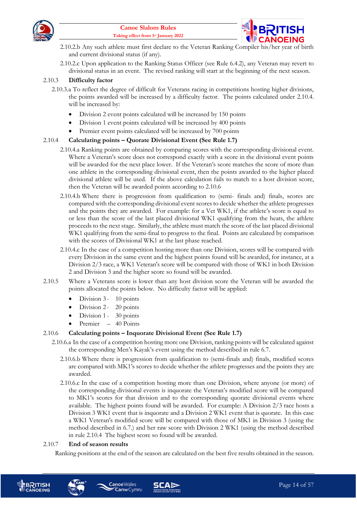



- 2.10.2.b Any such athlete must first declare to the Veteran Ranking Compiler his/her year of birth and current divisional status (if any).
- 2.10.2.c Upon application to the Ranking Status Officer (see Rule [6.4.2\)](#page-24-2), any Veteran may revert to divisional status in an event. The revised ranking will start at the beginning of the next season.

#### 2.10.3 **Difficulty factor**

- 2.10.3.a To reflect the degree of difficult for Veterans racing in competitions hosting higher divisions, the points awarded will be increased by a difficulty factor. The points calculated under [2.10.4.](#page-13-0) will be increased by:
	- Division 2 event points calculated will be increased by 150 points
	- Division 1 event points calculated will be increased by 400 points
	- Premier event points calculated will be increased by 700 points

#### <span id="page-13-0"></span>2.10.4 **Calculating points – Quorate Divisional Event (See Rule [1.7\)](#page-8-2)**

- 2.10.4.a Ranking points are obtained by comparing scores with the corresponding divisional event. Where a Veteran's score does not correspond exactly with a score in the divisional event points will be awarded for the next place lower. If the Veteran's score matches the score of more than one athlete in the corresponding divisional event, then the points awarded to the higher placed divisional athlete will be used. If the above calculation fails to match to a host division score, then the Veteran will be awarded points according t[o 2.10.6](#page-13-1)
- 2.10.4.b Where there is progression from qualification to (semi- finals and) finals, scores are compared with the corresponding divisional event scores to decide whether the athlete progresses and the points they are awarded. For example: for a Vet WK1, if the athlete's score is equal to or less than the score of the last placed divisional WK1 qualifying from the heats, the athlete proceeds to the next stage. Similarly, the athlete must match the score of the last placed divisional WK1 qualifying from the semi-final to progress to the final. Points are calculated by comparison with the scores of Divisional WK1 at the last phase reached.
- 2.10.4.c In the case of a competition hosting more than one Division, scores will be compared with every Division in the same event and the highest points found will be awarded, for instance, at a Division 2/3 race, a WK1 Veteran's score will be compared with those of WK1 in both Division 2 and Division 3 and the higher score so found will be awarded.
- 2.10.5 Where a Veterans score is lower than any host division score the Veteran will be awarded the points allocated the points below. No difficulty factor will be applied:
	- Division 3- 10 points
	- Division 2- 20 points
	- Division 1 30 points
	- Premier 40 Points

#### <span id="page-13-1"></span>2.10.6 **Calculating points – Inquorate Divisional Event (See Rule [1.7\)](#page-8-2)**

- 2.10.6.a In the case of a competition hosting more one Division, ranking points will be calculated against the corresponding Men's Kayak's event using the method described in rul[e 6.7.](#page-26-0)
	- 2.10.6.b Where there is progression from qualification to (semi-finals and) finals, modified scores are compared with MK1's scores to decide whether the athlete progresses and the points they are awarded.
	- 2.10.6.c In the case of a competition hosting more than one Division, where anyone (or more) of the corresponding divisional events is inquorate the Veteran's modified score will be compared to MK1's scores for that division and to the corresponding quorate divisional events where available. The highest points found will be awarded. For example: A Division 2/3 race hosts a Division 3 WK1 event that is inquorate and a Division 2 WK1 event that is quorate. In this case a WK1 Veteran's modified score will be compared with those of MK1 in Division 3 (using the method described in [6.7.](#page-26-0)) and her raw score with Division 2 WK1 (using the method described in rule [2.10.4](#page-13-0) The highest score so found will be awarded.

#### 2.10.7 **End of season results**

Ranking positions at the end of the season are calculated on the best five results obtained in the season.





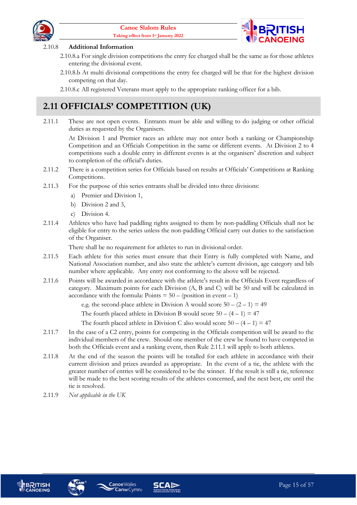



#### 2.10.8 **Additional Information**

- 2.10.8.a For single division competitions the entry fee charged shall be the same as for those athletes entering the divisional event.
- 2.10.8.b At multi divisional competitions the entry fee charged will be that for the highest division competing on that day.

2.10.8.c All registered Veterans must apply to the appropriate ranking officer for a bib.

## <span id="page-14-0"></span>**2.11 OFFICIALS' COMPETITION (UK)**

<span id="page-14-1"></span>2.11.1 These are not open events. Entrants must be able and willing to do judging or other official duties as requested by the Organisers.

At Division 1 and Premier races an athlete may not enter both a ranking or Championship Competition and an Officials Competition in the same or different events. At Division 2 to 4 competitions such a double entry in different events is at the organisers' discretion and subject to completion of the official's duties.

- 2.11.2 There is a competition series for Officials based on results at Officials' Competitions at Ranking Competitions.
- 2.11.3 For the purpose of this series entrants shall be divided into three divisions:
	- a) Premier and Division 1,
	- b) Division 2 and 3,
	- c) Division 4.
- 2.11.4 Athletes who have had paddling rights assigned to them by non-paddling Officials shall not be eligible for entry to the series unless the non-paddling Official carry out duties to the satisfaction of the Organiser.

There shall be no requirement for athletes to run in divisional order.

- 2.11.5 Each athlete for this series must ensure that their Entry is fully completed with Name, and National Association number, and also state the athlete's current division, age category and bib number where applicable. Any entry not conforming to the above will be rejected.
- 2.11.6 Points will be awarded in accordance with the athlete's result in the Officials Event regardless of category. Maximum points for each Division (A, B and C) will be 50 and will be calculated in accordance with the formula: Points  $= 50 - (position in event - 1)$

e.g. the second-place athlete in Division A would score  $50 - (2 - 1) = 49$ 

The fourth placed athlete in Division B would score  $50 - (4 - 1) = 47$ 

The fourth placed athlete in Division C also would score  $50 - (4 - 1) = 47$ 

- 2.11.7 In the case of a C2 entry, points for competing in the Officials competition will be award to the individual members of the crew. Should one member of the crew be found to have competed in both the Officials event and a ranking event, then Rule [2.11.1](#page-14-1) will apply to both athletes.
- 2.11.8 At the end of the season the points will be totalled for each athlete in accordance with their current division and prizes awarded as appropriate. In the event of a tie, the athlete with the greater number of entries will be considered to be the winner. If the result is still a tie, reference will be made to the best scoring results of the athletes concerned, and the next best, etc until the tie is resolved.
- 2.11.9 *Not applicable in the UK*







**Canoe**Wales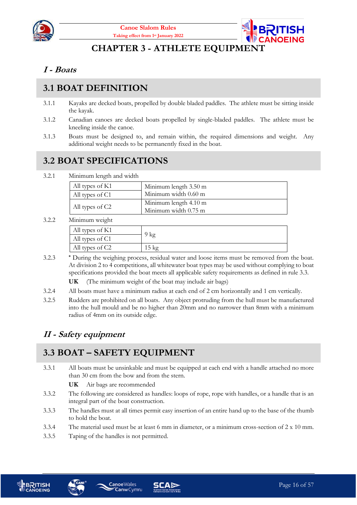



#### **CHAPTER 3 - ATHLETE EQUIPMENT**

#### <span id="page-15-1"></span><span id="page-15-0"></span>**I - Boats**

## <span id="page-15-2"></span>**3.1 BOAT DEFINITION**

- 3.1.1 Kayaks are decked boats, propelled by double bladed paddles. The athlete must be sitting inside the kayak.
- 3.1.2 Canadian canoes are decked boats propelled by single-bladed paddles. The athlete must be kneeling inside the canoe.
- 3.1.3 Boats must be designed to, and remain within, the required dimensions and weight. Any additional weight needs to be permanently fixed in the boat.

## <span id="page-15-3"></span>**3.2 BOAT SPECIFICATIONS**

3.2.1 Minimum length and width

| All types of K1 | Minimum length 3.50 m                         |
|-----------------|-----------------------------------------------|
| All types of C1 | Minimum width 0.60 m                          |
| All types of C2 | Minimum length 4.10 m<br>Minimum width 0.75 m |

3.2.2 Minimum weight

| All types of K1 |    |
|-----------------|----|
| All types of C1 | kg |
| All types of C2 |    |
|                 |    |

- 3.2.3 **\*** During the weighing process, residual water and loose items must be removed from the boat. At division 2 to 4 competitions, all whitewater boat types may be used without complying to boat specifications provided the boat meets all applicable safety requirements as defined in rule 3.3.
	- **UK** (The minimum weight of the boat may include air bags)
- 3.2.4 All boats must have a minimum radius at each end of 2 cm horizontally and 1 cm vertically.
- 3.2.5 Rudders are prohibited on all boats. Any object protruding from the hull must be manufactured into the hull mould and be no higher than 20mm and no narrower than 8mm with a minimum radius of 4mm on its outside edge.

#### <span id="page-15-4"></span>**II - Safety equipment**

#### <span id="page-15-5"></span>**3.3 BOAT – SAFETY EQUIPMENT**

3.3.1 All boats must be unsinkable and must be equipped at each end with a handle attached no more than 30 cm from the bow and from the stern.

**UK** Air bags are recommended

- 3.3.2 The following are considered as handles: loops of rope, rope with handles, or a handle that is an integral part of the boat construction.
- 3.3.3 The handles must at all times permit easy insertion of an entire hand up to the base of the thumb to hold the boat.
- 3.3.4 The material used must be at least 6 mm in diameter, or a minimum cross-section of 2 x 10 mm.
- 3.3.5 Taping of the handles is not permitted.





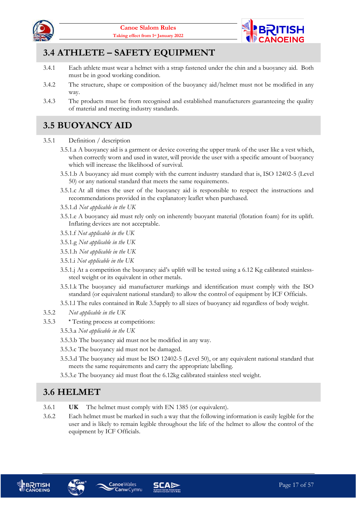



## <span id="page-16-0"></span>**3.4 ATHLETE – SAFETY EQUIPMENT**

- 3.4.1 Each athlete must wear a helmet with a strap fastened under the chin and a buoyancy aid. Both must be in good working condition.
- 3.4.2 The structure, shape or composition of the buoyancy aid/helmet must not be modified in any way.
- 3.4.3 The products must be from recognised and established manufacturers guaranteeing the quality of material and meeting industry standards.

#### <span id="page-16-1"></span>**3.5 BUOYANCY AID**

- 3.5.1 Definition / description
	- 3.5.1.a A buoyancy aid is a garment or device covering the upper trunk of the user like a vest which, when correctly worn and used in water, will provide the user with a specific amount of buoyancy which will increase the likelihood of survival.
	- 3.5.1.b A buoyancy aid must comply with the current industry standard that is, ISO 12402-5 (Level 50) or any national standard that meets the same requirements.
	- 3.5.1.c At all times the user of the buoyancy aid is responsible to respect the instructions and recommendations provided in the explanatory leaflet when purchased.
	- 3.5.1.d *Not applicable in the UK*
	- 3.5.1.e A buoyancy aid must rely only on inherently buoyant material (flotation foam) for its uplift. Inflating devices are not acceptable.
	- 3.5.1.f *Not applicable in the UK*
	- 3.5.1.g *Not applicable in the UK*
	- 3.5.1.h *Not applicable in the UK*
	- 3.5.1.i *Not applicable in the UK*
	- 3.5.1.j At a competition the buoyancy aid's uplift will be tested using a 6.12 Kg calibrated stainlesssteel weight or its equivalent in other metals.
	- 3.5.1.k The buoyancy aid manufacturer markings and identification must comply with the ISO standard (or equivalent national standard) to allow the control of equipment by ICF Officials.
	- 3.5.1.l The rules contained in Rule [3.5a](#page-16-1)pply to all sizes of buoyancy aid regardless of body weight.
- 3.5.2 *Not applicable in the UK*
- <span id="page-16-3"></span>3.5.3 **\*** Testing process at competitions:
	- 3.5.3.a *Not applicable in the UK*
	- 3.5.3.b The buoyancy aid must not be modified in any way.
	- 3.5.3.c The buoyancy aid must not be damaged.
	- 3.5.3.d The buoyancy aid must be ISO 12402-5 (Level 50), or any equivalent national standard that meets the same requirements and carry the appropriate labelling.
	- 3.5.3.e The buoyancy aid must float the 6.12kg calibrated stainless steel weight.

#### <span id="page-16-2"></span>**3.6 HELMET**

- 3.6.1 **UK** The helmet must comply with EN 1385 (or equivalent).
- 3.6.2 Each helmet must be marked in such a way that the following information is easily legible for the user and is likely to remain legible throughout the life of the helmet to allow the control of the equipment by ICF Officials.





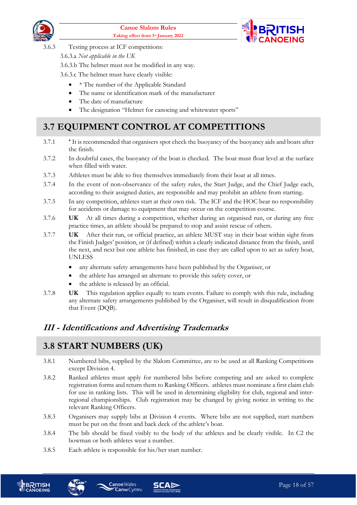



3.6.3 Testing process at ICF competitions:

3.6.3.a *Not applicable in the UK*

3.6.3.b The helmet must not be modified in any way.

3.6.3.c The helmet must have clearly visible:

- \* The number of the Applicable Standard
- The name or identification mark of the manufacturer
- The date of manufacture
- The designation "Helmet for canoeing and whitewater sports"

## <span id="page-17-0"></span>**3.7 EQUIPMENT CONTROL AT COMPETITIONS**

- 3.7.1 **\*** It is recommended that organisers spot check the buoyancy of the buoyancy aids and boats after the finish.
- 3.7.2 In doubtful cases, the buoyancy of the boat is checked. The boat must float level at the surface when filled with water.
- 3.7.3 Athletes must be able to free themselves immediately from their boat at all times.
- 3.7.4 In the event of non-observance of the safety rules, the Start Judge, and the Chief Judge each, according to their assigned duties, are responsible and may prohibit an athlete from starting.
- 3.7.5 In any competition, athletes start at their own risk. The ICF and the HOC bear no responsibility for accidents or damage to equipment that may occur on the competition course.
- 3.7.6 **UK** At all times during a competition, whether during an organised run, or during any free practice times, an athlete should be prepared to stop and assist rescue of others.
- 3.7.7 **UK** After their run, or official practice, an athlete MUST stay in their boat within sight from the Finish Judges' position, or (if defined) within a clearly indicated distance from the finish, until the next, and next but one athlete has finished, in case they are called upon to act as safety boat, UNLESS
	- any alternate safety arrangements have been published by the Organiser, or
	- the athlete has arranged an alternate to provide this safety cover, or
	- the athlete is released by an official.
- 3.7.8 **UK** This regulation applies equally to team events. Failure to comply with this rule, including any alternate safety arrangements published by the Organiser, will result in disqualification from that Event (DQB).

## <span id="page-17-1"></span>**III - Identifications and Advertising Trademarks**

## <span id="page-17-2"></span>**3.8 START NUMBERS (UK)**

- 3.8.1 Numbered bibs, supplied by the Slalom Committee, are to be used at all Ranking Competitions except Division 4.
- 3.8.2 Ranked athletes must apply for numbered bibs before competing and are asked to complete registration forms and return them to Ranking Officers. athletes must nominate a first claim club for use in ranking lists. This will be used in determining eligibility for club, regional and interregional championships. Club registration may be changed by giving notice in writing to the relevant Ranking Officers.
- 3.8.3 Organisers may supply bibs at Division 4 events. Where bibs are not supplied, start numbers must be put on the front and back deck of the athlete's boat.
- 3.8.4 The bib should be fixed visibly to the body of the athletes and be clearly visible. In C2 the bowman or both athletes wear a number.
- 3.8.5 Each athlete is responsible for his/her start number.

**Canw** Cymru





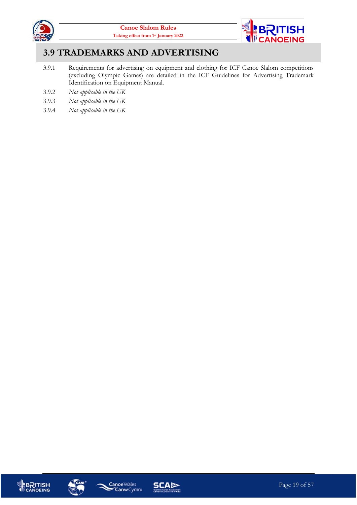



#### <span id="page-18-0"></span>**3.9 TRADEMARKS AND ADVERTISING**

- 3.9.1 Requirements for advertising on equipment and clothing for ICF Canoe Slalom competitions (excluding Olympic Games) are detailed in the ICF Guidelines for Advertising Trademark Identification on Equipment Manual.
- 3.9.2 *Not applicable in the UK*
- 3.9.3 *Not applicable in the UK*
- 3.9.4 *Not applicable in the UK*







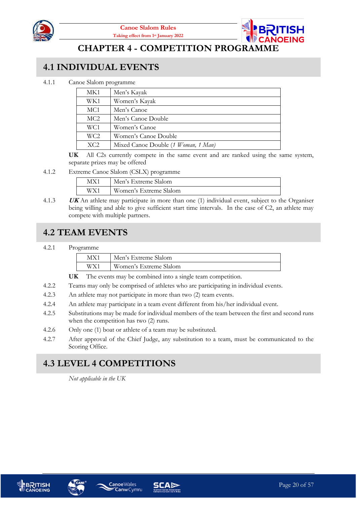

**CHAPTER 4 - COMPETITION PROGRAMME**

#### <span id="page-19-1"></span><span id="page-19-0"></span>**4.1 INDIVIDUAL EVENTS**

4.1.1 Canoe Slalom programme

| MK1             | Men's Kayak                         |
|-----------------|-------------------------------------|
| WK1             | Women's Kayak                       |
| MC <sub>1</sub> | Men's Canoe                         |
| MC2             | Men's Canoe Double                  |
| WC1             | Women's Canoe                       |
| WC <sub>2</sub> | Women's Canoe Double                |
| XC2             | Mixed Canoe Double (1 Woman, 1 Man) |

**UK** All C2s currently compete in the same event and are ranked using the same system, separate prizes may be offered

4.1.2 Extreme Canoe Slalom (CSLX) programme

| MX1 | Men's Extreme Slalom   |
|-----|------------------------|
| WX1 | Women's Extreme Slalom |

4.1.3 **UK** An athlete may participate in more than one (1) individual event, subject to the Organiser being willing and able to give sufficient start time intervals. In the case of C2, an athlete may compete with multiple partners.

#### <span id="page-19-2"></span>**4.2 TEAM EVENTS**

#### 4.2.1 Programme

| MX1 | Men's Extreme Slalom   |
|-----|------------------------|
| WX1 | Women's Extreme Slalom |
|     |                        |

**UK** The events may be combined into a single team competition.

- 4.2.2 Teams may only be comprised of athletes who are participating in individual events.
- 4.2.3 An athlete may not participate in more than two (2) team events.
- 4.2.4 An athlete may participate in a team event different from his/her individual event.
- 4.2.5 Substitutions may be made for individual members of the team between the first and second runs when the competition has two  $(2)$  runs.
- 4.2.6 Only one (1) boat or athlete of a team may be substituted.
- 4.2.7 After approval of the Chief Judge, any substitution to a team, must be communicated to the Scoring Office.

#### <span id="page-19-3"></span>**4.3 LEVEL 4 COMPETITIONS**

*Not applicable in the UK*







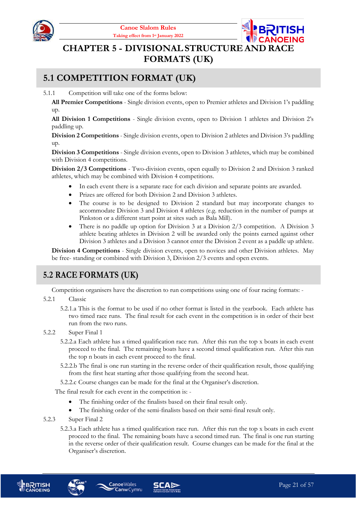



## <span id="page-20-0"></span>**CHAPTER 5 - DIVISIONAL STRUCTURE AND RACE FORMATS (UK)**

#### <span id="page-20-1"></span>**5.1 COMPETITION FORMAT (UK)**

5.1.1 Competition will take one of the forms below:

**All Premier Competitions** - Single division events, open to Premier athletes and Division 1's paddling up.

**All Division 1 Competitions** - Single division events, open to Division 1 athletes and Division 2's paddling up.

**Division 2 Competitions** - Single division events, open to Division 2 athletes and Division 3's paddling up.

**Division 3 Competitions** - Single division events, open to Division 3 athletes, which may be combined with Division 4 competitions.

**Division 2/3 Competitions** - Two-division events, open equally to Division 2 and Division 3 ranked athletes, which may be combined with Division 4 competitions.

- In each event there is a separate race for each division and separate points are awarded.
- Prizes are offered for both Division 2 and Division 3 athletes.
- The course is to be designed to Division 2 standard but may incorporate changes to accommodate Division 3 and Division 4 athletes (e.g. reduction in the number of pumps at Pinkston or a different start point at sites such as Bala Mill).
- There is no paddle up option for Division 3 at a Division 2/3 competition. A Division 3 athlete beating athletes in Division 2 will be awarded only the points earned against other Division 3 athletes and a Division 3 cannot enter the Division 2 event as a paddle up athlete.

**Division 4 Competitions** - Single division events, open to novices and other Division athletes. May be free- standing or combined with Division 3, Division 2/3 events and open events.

#### <span id="page-20-2"></span>**5.2 RACE FORMATS (UK)**

Competition organisers have the discretion to run competitions using one of four racing formats: -

- 5.2.1 Classic
	- 5.2.1.a This is the format to be used if no other format is listed in the yearbook. Each athlete has two timed race runs. The final result for each event in the competition is in order of their best run from the two runs.
- 5.2.2 Super Final 1
	- 5.2.2.a Each athlete has a timed qualification race run. After this run the top x boats in each event proceed to the final. The remaining boats have a second timed qualification run. After this run the top n boats in each event proceed to the final.
	- 5.2.2.b The final is one run starting in the reverse order of their qualification result, those qualifying from the first heat starting after those qualifying from the second heat.

5.2.2.c Course changes can be made for the final at the Organiser's discretion.

The final result for each event in the competition is: -

- The finishing order of the finalists based on their final result only.
- The finishing order of the semi-finalists based on their semi-final result only.
- 5.2.3 Super Final 2
	- 5.2.3.a Each athlete has a timed qualification race run. After this run the top x boats in each event proceed to the final. The remaining boats have a second timed run. The final is one run starting in the reverse order of their qualification result. Course changes can be made for the final at the Organiser's discretion.



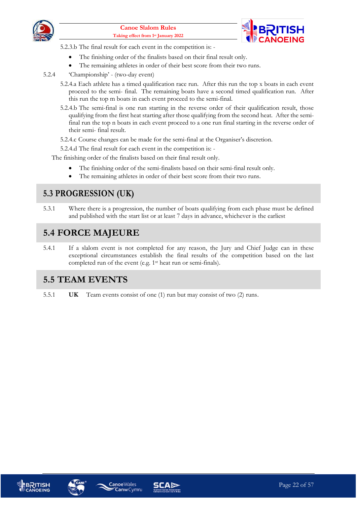



5.2.3.b The final result for each event in the competition is: -

- The finishing order of the finalists based on their final result only.
- The remaining athletes in order of their best score from their two runs.
- 5.2.4 'Championship' (two-day event)
	- 5.2.4.a Each athlete has a timed qualification race run. After this run the top x boats in each event proceed to the semi- final. The remaining boats have a second timed qualification run. After this run the top m boats in each event proceed to the semi-final.
	- 5.2.4.b The semi-final is one run starting in the reverse order of their qualification result, those qualifying from the first heat starting after those qualifying from the second heat. After the semifinal run the top n boats in each event proceed to a one run final starting in the reverse order of their semi- final result.
	- 5.2.4.c Course changes can be made for the semi-final at the Organiser's discretion.
	- 5.2.4.d The final result for each event in the competition is: -

The finishing order of the finalists based on their final result only.

- The finishing order of the semi-finalists based on their semi-final result only.
- The remaining athletes in order of their best score from their two runs.

#### <span id="page-21-0"></span>**5.3 PROGRESSION (UK)**

5.3.1 Where there is a progression, the number of boats qualifying from each phase must be defined and published with the start list or at least 7 days in advance, whichever is the earliest

#### <span id="page-21-1"></span>**5.4 FORCE MAJEURE**

5.4.1 If a slalom event is not completed for any reason, the Jury and Chief Judge can in these exceptional circumstances establish the final results of the competition based on the last completed run of the event (e.g. 1st heat run or semi-finals).

#### <span id="page-21-2"></span>**5.5 TEAM EVENTS**

5.5.1 **UK** Team events consist of one (1) run but may consist of two (2) runs.







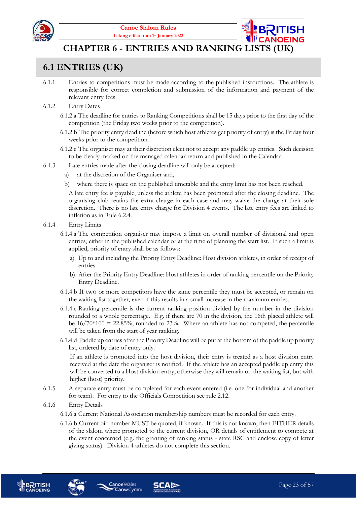

**CHAPTER 6 - ENTRIES AND RANKING LISTS (UK)**

#### <span id="page-22-1"></span><span id="page-22-0"></span>**6.1 ENTRIES (UK)**

- 6.1.1 Entries to competitions must be made according to the published instructions. The athlete is responsible for correct completion and submission of the information and payment of the relevant entry fees.
- 6.1.2 Entry Dates
	- 6.1.2.a The deadline for entries to Ranking Competitions shall be 15 days prior to the first day of the competition (the Friday two weeks prior to the competition).
	- 6.1.2.b The priority entry deadline (before which host athletes get priority of entry) is the Friday four weeks prior to the competition.
	- 6.1.2.c The organiser may at their discretion elect not to accept any paddle up entries. Such decision to be clearly marked on the managed calendar return and published in the Calendar.
- 6.1.3 Late entries made after the closing deadline will only be accepted:
	- a) at the discretion of the Organiser and,
	- b) where there is space on the published timetable and the entry limit has not been reached.

A late entry fee is payable, unless the athlete has been promoted after the closing deadline. The organising club retains the extra charge in each case and may waive the charge at their sole discretion. There is no late entry charge for Division 4 events. The late entry fees are linked to inflation as in Rule [6.2.4.](#page-24-3)

- 6.1.4 Entry Limits
	- 6.1.4.a The competition organiser may impose a limit on overall number of divisional and open entries, either in the published calendar or at the time of planning the start list. If such a limit is applied, priority of entry shall be as follows:
		- a) Up to and including the Priority Entry Deadline: Host division athletes, in order of receipt of entries.
		- b) After the Priority Entry Deadline: Host athletes in order of ranking percentile on the Priority Entry Deadline.
	- 6.1.4.b If two or more competitors have the same percentile they must be accepted, or remain on the waiting list together, even if this results in a small increase in the maximum entries.
	- 6.1.4.c Ranking percentile is the current ranking position divided by the number in the division rounded to a whole percentage. E.g. if there are 70 in the division, the 16th placed athlete will be  $16/70*100 = 22.85\%$ , rounded to 23%. Where an athlete has not competed, the percentile will be taken from the start of year ranking.
	- 6.1.4.d Paddle up entries after the Priority Deadline will be put at the bottom of the paddle up priority list, ordered by date of entry only.

If an athlete is promoted into the host division, their entry is treated as a host division entry received at the date the organiser is notified. If the athlete has an accepted paddle up entry this will be converted to a Host division entry, otherwise they will remain on the waiting list, but with higher (host) priority.

6.1.5 A separate entry must be completed for each event entered (i.e. one for individual and another for team). For entry to the Officials Competition see rule 2.12.

#### 6.1.6 Entry Details

- 6.1.6.a Current National Association membership numbers must be recorded for each entry.
- 6.1.6.b Current bib number MUST be quoted, if known. If this is not known, then EITHER details of the slalom where promoted to the current division, OR details of entitlement to compete at the event concerned (e.g. the granting of ranking status - state RSC and enclose copy of letter giving status). Division 4 athletes do not complete this section.







**Canoe**Wales

**Canw** Cymru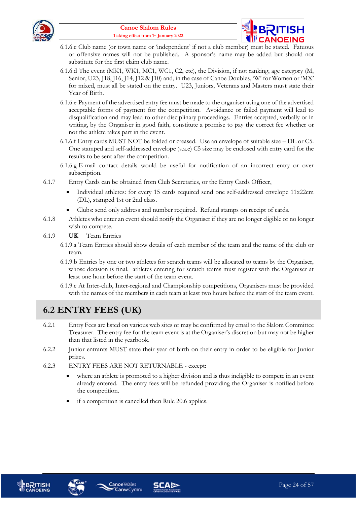



- 6.1.6.c Club name (or town name or 'independent' if not a club member) must be stated. Fatuous or offensive names will not be published. A sponsor's name may be added but should not substitute for the first claim club name.
- 6.1.6.d The event (MK1, WK1, MC1, WC1, C2, etc), the Division, if not ranking, age category (M, Senior, U23, J18, J16, J14, J12 & J10) and, in the case of Canoe Doubles, 'W' for Women or 'MX' for mixed, must all be stated on the entry. U23, Juniors, Veterans and Masters must state their Year of Birth.
- 6.1.6.e Payment of the advertised entry fee must be made to the organiser using one of the advertised acceptable forms of payment for the competition. Avoidance or failed payment will lead to disqualification and may lead to other disciplinary proceedings. Entries accepted, verbally or in writing, by the Organiser in good faith, constitute a promise to pay the correct fee whether or not the athlete takes part in the event.
- 6.1.6.f Entry cards MUST NOT be folded or creased. Use an envelope of suitable size DL or C5. One stamped and self-addressed envelope (s.a.e) C5 size may be enclosed with entry card for the results to be sent after the competition.
- 6.1.6.g E-mail contact details would be useful for notification of an incorrect entry or over subscription.
- 6.1.7 Entry Cards can be obtained from Club Secretaries, or the Entry Cards Officer,
	- Individual athletes: for every 15 cards required send one self-addressed envelope 11x22cm (DL), stamped 1st or 2nd class.
	- Clubs: send only address and number required. Refund stamps on receipt of cards.
- 6.1.8 Athletes who enter an event should notify the Organiser if they are no longer eligible or no longer wish to compete.
- 6.1.9 **UK** Team Entries
	- 6.1.9.a Team Entries should show details of each member of the team and the name of the club or team.
	- 6.1.9.b Entries by one or two athletes for scratch teams will be allocated to teams by the Organiser, whose decision is final. athletes entering for scratch teams must register with the Organiser at least one hour before the start of the team event.
	- 6.1.9.c At Inter-club, Inter-regional and Championship competitions, Organisers must be provided with the names of the members in each team at least two hours before the start of the team event.

## <span id="page-23-0"></span>**6.2 ENTRY FEES (UK)**

- 6.2.1 Entry Fees are listed on various web sites or may be confirmed by email to the Slalom Committee Treasurer. The entry fee for the team event is at the Organiser's discretion but may not be higher than that listed in the yearbook.
- 6.2.2 Junior entrants MUST state their year of birth on their entry in order to be eligible for Junior prizes.
- 6.2.3 ENTRY FEES ARE NOT RETURNABLE except:
	- where an athlete is promoted to a higher division and is thus ineligible to compete in an event already entered. The entry fees will be refunded providing the Organiser is notified before the competition.
	- if a competition is cancelled then Rule [20.6](#page-54-1) applies.







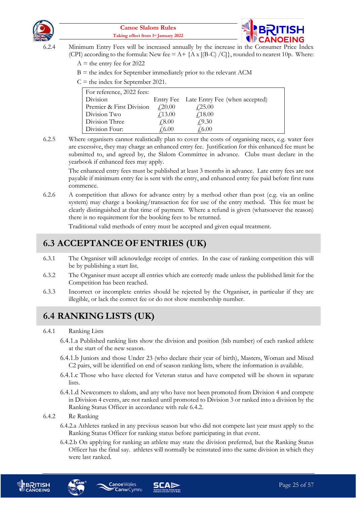



- <span id="page-24-3"></span>6.2.4 Minimum Entry Fees will be increased annually by the increase in the Consumer Price Index (CPI) according to the formula: New fee =  $A + \{A \times [(B-C) / C] \}$ , rounded to nearest 10p. Where:
	- $A =$  the entry fee for 2022
	- $B =$  the index for September immediately prior to the relevant ACM
	- $C =$  the index for September 2021.

| For reference, 2022 fees: |                                  |                                          |  |
|---------------------------|----------------------------------|------------------------------------------|--|
| Division                  |                                  | Entry Fee Late Entry Fee (when accepted) |  |
| Premier & First Division  | $\textcolor{blue}{\sqrt{20.00}}$ | $f$ 25.00                                |  |
| Division Two              | f13.00                           | f18.00                                   |  |
| Division Three            | $\sqrt{.8.00}$                   | f9.30                                    |  |
| Division Four:            | $\sqrt{6.00}$                    | $\sqrt{6.00}$                            |  |

6.2.5 Where organisers cannot realistically plan to cover the costs of organising races, e.g. water fees are excessive, they may charge an enhanced entry fee. Justification for this enhanced fee must be submitted to, and agreed by, the Slalom Committee in advance. Clubs must declare in the yearbook if enhanced fees may apply.

The enhanced entry fees must be published at least 3 months in advance. Late entry fees are not payable if minimum entry fee is sent with the entry, and enhanced entry fee paid before first runs commence.

6.2.6 A competition that allows for advance entry by a method other than post (e.g. via an online system) may charge a booking/transaction fee for use of the entry method. This fee must be clearly distinguished at that time of payment. Where a refund is given (whatsoever the reason) there is no requirement for the booking fees to be returned.

Traditional valid methods of entry must be accepted and given equal treatment.

#### <span id="page-24-0"></span>**6.3 ACCEPTANCE OF ENTRIES (UK)**

- 6.3.1 The Organiser will acknowledge receipt of entries. In the case of ranking competition this will be by publishing a start list.
- 6.3.2 The Organiser must accept all entries which are correctly made unless the published limit for the Competition has been reached.
- 6.3.3 Incorrect or incomplete entries should be rejected by the Organiser, in particular if they are illegible, or lack the correct fee or do not show membership number.

## <span id="page-24-1"></span>**6.4 RANKING LISTS (UK)**

#### 6.4.1 Ranking Lists

- 6.4.1.a Published ranking lists show the division and position (bib number) of each ranked athlete at the start of the new season.
- 6.4.1.b Juniors and those Under 23 (who declare their year of birth), Masters, Woman and Mixed C2 pairs, will be identified on end of season ranking lists, where the information is available.
- 6.4.1.c Those who have elected for Veteran status and have competed will be shown in separate lists.
- 6.4.1.d Newcomers to slalom, and any who have not been promoted from Division 4 and compete in Division 4 events, are not ranked until promoted to Division 3 or ranked into a division by the Ranking Status Officer in accordance with rule [6.4.2.](#page-24-2)

#### <span id="page-24-2"></span>6.4.2 Re Ranking

- 6.4.2.a Athletes ranked in any previous season but who did not compete last year must apply to the Ranking Status Officer for ranking status before participating in that event.
- 6.4.2.b On applying for ranking an athlete may state the division preferred, but the Ranking Status Officer has the final say. athletes will normally be reinstated into the same division in which they were last ranked.



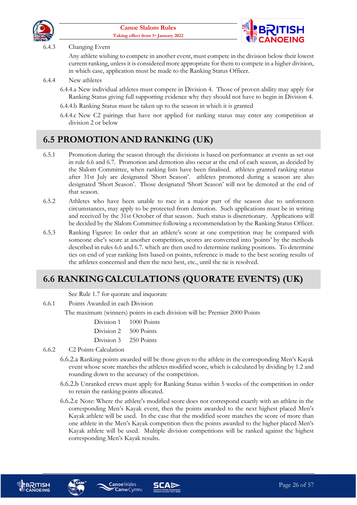



#### 6.4.3 Changing Event

Any athlete wishing to compete in another event, must compete in the division below their lowest current ranking, unless it is considered more appropriate for them to compete in a higher division, in which case, application must be made to the Ranking Status Officer.

#### 6.4.4 New athletes

- 6.4.4.a New individual athletes must compete in Division 4. Those of proven ability may apply for Ranking Status giving full supporting evidence why they should not have to begin in Division 4.
- 6.4.4.b Ranking Status must be taken up to the season in which it is granted
- 6.4.4.c New C2 pairings that have not applied for ranking status may enter any competition at division 2 or below

#### <span id="page-25-0"></span>**6.5 PROMOTION AND RANKING (UK)**

- 6.5.1 Promotion during the season through the divisions is based on performance at events as set out in rule [6.6](#page-25-1) an[d 6.7.](#page-26-0) Promotion and demotion also occur at the end of each season, as decided by the Slalom Committee, when ranking lists have been finalised. athletes granted ranking status after 31st July are designated 'Short Season'. athletes promoted during a season are also designated 'Short Season'. Those designated 'Short Season' will not be demoted at the end of that season.
- 6.5.2 Athletes who have been unable to race in a major part of the season due to unforeseen circumstances, may apply to be protected from demotion. Such applications must be in writing and received by the 31st October of that season. Such status is discretionary. Applications will be decided by the Slalom Committee following a recommendation by the Ranking Status Officer.
- 6.5.3 Ranking Figures: In order that an athlete's score at one competition may be compared with someone else's score at another competition, scores are converted into 'points' by the methods described in rules [6.6](#page-25-1) and [6.7.](#page-26-0) which are then used to determine ranking positions. To determine ties on end of year ranking lists based on points, reference is made to the best scoring results of the athletes concerned and then the next best, etc., until the tie is resolved.

#### <span id="page-25-1"></span>**6.6 RANKINGCALCULATIONS (QUORATE EVENTS) (UK)**

See Rule [1.7](#page-8-2) for quorate and inquorate

6.6.1 Points Awarded in each Division

The maximum (winners) points in each division will be: Premier 2000 Points

| Division 1 | $1000$ Points |
|------------|---------------|
| Division 2 | 500 Points    |
| Division 3 | 250 Points    |

- 6.6.2 C2 Points Calculation
	- 6.6.2.a Ranking points awarded will be those given to the athlete in the corresponding Men's Kayak event whose score matches the athletes modified score, which is calculated by dividing by 1.2 and rounding down to the accuracy of the competition.
	- 6.6.2.b Unranked crews must apply for Ranking Status within 5 weeks of the competition in order to retain the ranking points allocated.
	- 6.6.2.c Note: Where the athlete's modified score does not correspond exactly with an athlete in the corresponding Men's Kayak event, then the points awarded to the next highest placed Men's Kayak athlete will be used. In the case that the modified score matches the score of more than one athlete in the Men's Kayak competition then the points awarded to the higher placed Men's Kayak athlete will be used. Multiple division competitions will be ranked against the highest corresponding Men's Kayak results.







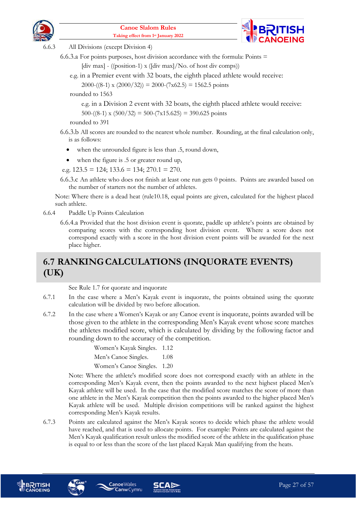



6.6.3 All Divisions (except Division 4)

6.6.3.a For points purposes, host division accordance with the formula: Points  $=$ [div max] - ((position-1) x ([div max]/No. of host div comps))

e.g. in a Premier event with 32 boats, the eighth placed athlete would receive: 2000-((8-1) x (2000/32)) = 2000-(7x62.5) = 1562.5 points

rounded to 1563

e.g. in a Division 2 event with 32 boats, the eighth placed athlete would receive: 500-((8-1) x (500/32) = 500-(7x15.625) = 390.625 points

rounded to 391

- 6.6.3.b All scores are rounded to the nearest whole number. Rounding, at the final calculation only, is as follows:
	- when the unrounded figure is less than .5, round down,
	- when the figure is .5 or greater round up,

e.g.  $123.5 = 124$ ;  $133.6 = 134$ ;  $270.1 = 270$ .

6.6.3.c An athlete who does not finish at least one run gets 0 points. Points are awarded based on the number of starters not the number of athletes.

Note: Where there is a dead heat (rul[e10.18,](#page-41-0) equal points are given, calculated for the highest placed such athlete.

6.6.4 Paddle Up Points Calculation

6.6.4.a Provided that the host division event is quorate, paddle up athlete's points are obtained by comparing scores with the corresponding host division event. Where a score does not correspond exactly with a score in the host division event points will be awarded for the next place higher.

## <span id="page-26-0"></span>**6.7 RANKINGCALCULATIONS (INQUORATE EVENTS) (UK)**

See Rule [1.7](#page-8-2) for quorate and inquorate

- 6.7.1 In the case where a Men's Kayak event is inquorate, the points obtained using the quorate calculation will be divided by two before allocation.
- 6.7.2 In the case where a Women's Kayak or any Canoe event is inquorate, points awarded will be those given to the athlete in the corresponding Men's Kayak event whose score matches the athletes modified score, which is calculated by dividing by the following factor and rounding down to the accuracy of the competition.

Women's Kayak Singles. 1.12

Men's Canoe Singles. 1.08

Women's Canoe Singles. 1.20

Note: Where the athlete's modified score does not correspond exactly with an athlete in the corresponding Men's Kayak event, then the points awarded to the next highest placed Men's Kayak athlete will be used. In the case that the modified score matches the score of more than one athlete in the Men's Kayak competition then the points awarded to the higher placed Men's Kayak athlete will be used. Multiple division competitions will be ranked against the highest corresponding Men's Kayak results.

6.7.3 Points are calculated against the Men's Kayak scores to decide which phase the athlete would have reached, and that is used to allocate points. For example: Points are calculated against the Men's Kayak qualification result unless the modified score of the athlete in the qualification phase is equal to or less than the score of the last placed Kayak Man qualifying from the heats.







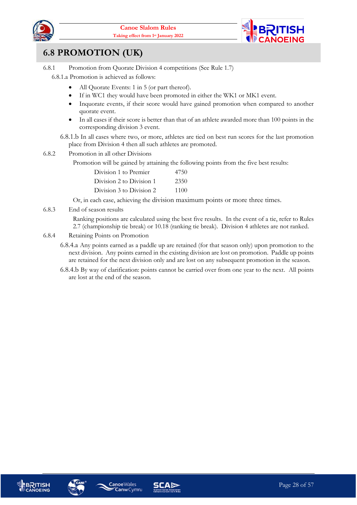



#### <span id="page-27-0"></span>**6.8 PROMOTION (UK)**

6.8.1 Promotion from Quorate Division 4 competitions (See Rule [1.7\)](#page-8-2)

6.8.1.a Promotion is achieved as follows:

- All Quorate Events: 1 in 5 (or part thereof).
- If in WC1 they would have been promoted in either the WK1 or MK1 event.
- Inquorate events, if their score would have gained promotion when compared to another quorate event.
- In all cases if their score is better than that of an athlete awarded more than 100 points in the corresponding division 3 event.
- 6.8.1.b In all cases where two, or more, athletes are tied on best run scores for the last promotion place from Division 4 then all such athletes are promoted.
- 6.8.2 Promotion in all other Divisions

Promotion will be gained by attaining the following points from the five best results:

| Division 1 to Premier    | 4750 |
|--------------------------|------|
| Division 2 to Division 1 | 2350 |
| Division 3 to Division 2 | 1100 |

Or, in each case, achieving the division maximum points or more three times.

6.8.3 End of season results

Ranking positions are calculated using the best five results. In the event of a tie, refer to Rules [2.7](#page-11-1) (championship tie break) or [10.18](#page-41-0) (ranking tie break). Division 4 athletes are not ranked.

- 6.8.4 Retaining Points on Promotion
	- 6.8.4.a Any points earned as a paddle up are retained (for that season only) upon promotion to the next division. Any points earned in the existing division are lost on promotion. Paddle up points are retained for the next division only and are lost on any subsequent promotion in the season.
	- 6.8.4.b By way of clarification: points cannot be carried over from one year to the next. All points are lost at the end of the season.







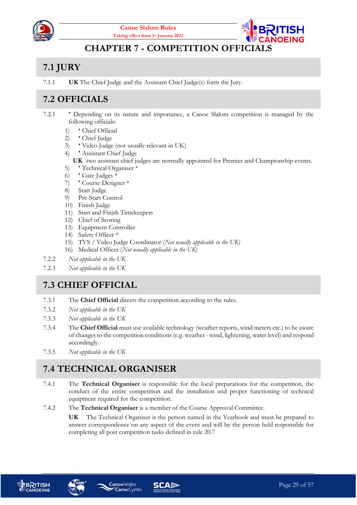



#### **CHAPTER 7 - COMPETITION OFFICIAL**

## <span id="page-28-1"></span><span id="page-28-0"></span>**7.1 JURY**

7.1.1 **UK** The Chief Judge and the Assistant Chief Judge(s) form the Jury.

## <span id="page-28-2"></span>**7.2 OFFICIALS**

- 7.2.1 **\*** Depending on its nature and importance, a Canoe Slalom competition is managed by the following officials:
	- 1) **\*** Chief Official
	- 2) **\*** Chief Judge
	- 3) **\*** Video Judge (not usually relevant in UK)
	- 4) **\*** Assistant Chief Judge
		- **UK** two assistant chief judges are normally appointed for Premier and Championship events.
	- 5) **\*** Technical Organiser \*
	- 6) **\*** Gate Judges \*
	- 7) **\*** Course Designer \*
	- 8) Start Judge
	- 9) Pre-Start Control
	- 10) Finish Judge
	- 11) Start and Finish Timekeepers
	- 12) Chief of Scoring
	- 13) Equipment Controller
	- 14) Safety Officer \*
	- 15) TVS / Video Judge Coordinator (*Not usually applicable in the UK)*
	- 16) Medical Officer (*Not usually applicable in the UK*)
- 7.2.2 *Not applicable in the UK*
- 7.2.3 *Not applicable in the UK*

#### <span id="page-28-3"></span>**7.3 CHIEF OFFICIAL**

- 7.3.1 The **Chief Official** directs the competition according to the rules.
- 7.3.2 *Not applicable in the UK*
- 7.3.3 *Not applicable in the UK*
- 7.3.4 The **Chief Official** must use available technology (weather reports, wind meters etc.) to be aware of changes to the competition conditions (e.g. weather - wind, lightening, water level) and respond accordingly.
- 7.3.5 *Not applicable in the UK*

## <span id="page-28-4"></span>**7.4 TECHNICAL ORGANISER**

- 7.4.1 The **Technical Organiser** is responsible for the local preparations for the competition, the conduct of the entire competition and the installation and proper functioning of technical equipment required for the competition.
- 7.4.2 The **Technical Organiser** is a member of the Course Approval Committee.

**UK** The Technical Organiser is the person named in the Yearbook and must be prepared to answer correspondence on any aspect of the event and will be the person held responsible for completing all post competition tasks defined in rul[e 20.7](#page-55-0)







**Canw** Cymru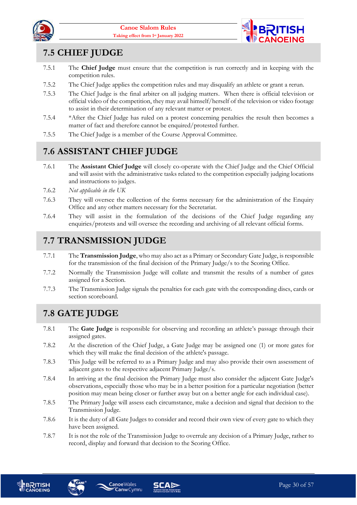



#### <span id="page-29-0"></span>**7.5 CHIEF JUDGE**

- 7.5.1 The **Chief Judge** must ensure that the competition is run correctly and in keeping with the competition rules.
- 7.5.2 The Chief Judge applies the competition rules and may disqualify an athlete or grant a rerun.
- 7.5.3 The Chief Judge is the final arbiter on all judging matters. When there is official television or official video of the competition, they may avail himself/herself of the television or video footage to assist in their determination of any relevant matter or protest.
- 7.5.4 \*After the Chief Judge has ruled on a protest concerning penalties the result then becomes a matter of fact and therefore cannot be enquired/protested further.
- 7.5.5 The Chief Judge is a member of the Course Approval Committee.

#### <span id="page-29-1"></span>**7.6 ASSISTANT CHIEF JUDGE**

- 7.6.1 The **Assistant Chief Judge** will closely co-operate with the Chief Judge and the Chief Official and will assist with the administrative tasks related to the competition especially judging locations and instructions to judges.
- 7.6.2 *Not applicable in the UK*
- 7.6.3 They will oversee the collection of the forms necessary for the administration of the Enquiry Office and any other matters necessary for the Secretariat.
- 7.6.4 They will assist in the formulation of the decisions of the Chief Judge regarding any enquiries/protests and will oversee the recording and archiving of all relevant official forms.

## <span id="page-29-2"></span>**7.7 TRANSMISSION JUDGE**

- 7.7.1 The **Transmission Judge**, who may also act as a Primary or Secondary Gate Judge, is responsible for the transmission of the final decision of the Primary Judge/s to the Scoring Office.
- 7.7.2 Normally the Transmission Judge will collate and transmit the results of a number of gates assigned for a Section.
- 7.7.3 The Transmission Judge signals the penalties for each gate with the corresponding discs, cards or section scoreboard.

## <span id="page-29-3"></span>**7.8 GATE JUDGE**

- 7.8.1 The **Gate Judge** is responsible for observing and recording an athlete's passage through their assigned gates.
- 7.8.2 At the discretion of the Chief Judge, a Gate Judge may be assigned one (1) or more gates for which they will make the final decision of the athlete's passage.
- 7.8.3 This Judge will be referred to as a Primary Judge and may also provide their own assessment of adjacent gates to the respective adjacent Primary Judge/s.
- 7.8.4 In arriving at the final decision the Primary Judge must also consider the adjacent Gate Judge's observations, especially those who may be in a better position for a particular negotiation (better position may mean being closer or further away but on a better angle for each individual case).
- 7.8.5 The Primary Judge will assess each circumstance, make a decision and signal that decision to the Transmission Judge.
- 7.8.6 It is the duty of all Gate Judges to consider and record their own view of every gate to which they have been assigned.
- 7.8.7 It is not the role of the Transmission Judge to overrule any decision of a Primary Judge, rather to record, display and forward that decision to the Scoring Office.





**Canoe**Wales

**Canw** Cymru

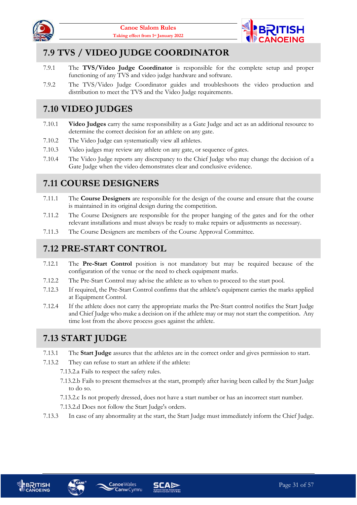



## <span id="page-30-0"></span>**7.9 TVS / VIDEO JUDGE COORDINATOR**

- 7.9.1 The **TVS/Video Judge Coordinator** is responsible for the complete setup and proper functioning of any TVS and video judge hardware and software.
- 7.9.2 The TVS/Video Judge Coordinator guides and troubleshoots the video production and distribution to meet the TVS and the Video Judge requirements.

## <span id="page-30-1"></span>**7.10 VIDEO JUDGES**

- 7.10.1 **Video Judges** carry the same responsibility as a Gate Judge and act as an additional resource to determine the correct decision for an athlete on any gate.
- 7.10.2 The Video Judge can systematically view all athletes.
- 7.10.3 Video judges may review any athlete on any gate, or sequence of gates.
- 7.10.4 The Video Judge reports any discrepancy to the Chief Judge who may change the decision of a Gate Judge when the video demonstrates clear and conclusive evidence.

#### <span id="page-30-2"></span>**7.11 COURSE DESIGNERS**

- 7.11.1 The **Course Designers** are responsible for the design of the course and ensure that the course is maintained in its original design during the competition.
- 7.11.2 The Course Designers are responsible for the proper hanging of the gates and for the other relevant installations and must always be ready to make repairs or adjustments as necessary.
- 7.11.3 The Course Designers are members of the Course Approval Committee.

#### <span id="page-30-3"></span>**7.12 PRE-START CONTROL**

- 7.12.1 The **Pre-Start Control** position is not mandatory but may be required because of the configuration of the venue or the need to check equipment marks.
- 7.12.2 The Pre-Start Control may advise the athlete as to when to proceed to the start pool.
- 7.12.3 If required, the Pre-Start Control confirms that the athlete's equipment carries the marks applied at Equipment Control.
- 7.12.4 If the athlete does not carry the appropriate marks the Pre-Start control notifies the Start Judge and Chief Judge who make a decision on if the athlete may or may not start the competition. Any time lost from the above process goes against the athlete.

## <span id="page-30-4"></span>**7.13 START JUDGE**

7.13.1 The **Start Judge** assures that the athletes are in the correct order and gives permission to start.

7.13.2 They can refuse to start an athlete if the athlete:

- 7.13.2.a Fails to respect the safety rules.
- 7.13.2.b Fails to present themselves at the start, promptly after having been called by the Start Judge to do so.
- 7.13.2.c Is not properly dressed, does not have a start number or has an incorrect start number.
- 7.13.2.d Does not follow the Start Judge's orders.

**Canw** Cymru

7.13.3 In case of any abnormality at the start, the Start Judge must immediately inform the Chief Judge.



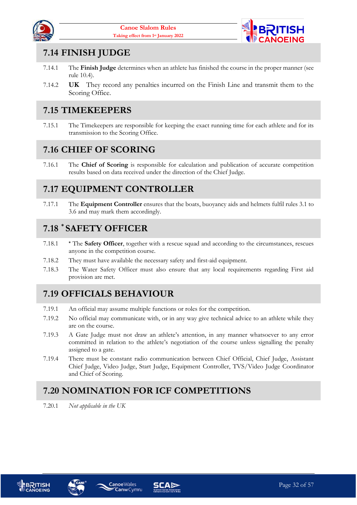



#### <span id="page-31-0"></span>**7.14 FINISH JUDGE**

- 7.14.1 The **Finish Judge** determines when an athlete has finished the course in the proper manner (see rule [10.4\)](#page-36-5).
- 7.14.2 **UK** They record any penalties incurred on the Finish Line and transmit them to the Scoring Office.

#### <span id="page-31-1"></span>**7.15 TIMEKEEPERS**

7.15.1 The Timekeepers are responsible for keeping the exact running time for each athlete and for its transmission to the Scoring Office.

#### <span id="page-31-2"></span>**7.16 CHIEF OF SCORING**

7.16.1 The **Chief of Scoring** is responsible for calculation and publication of accurate competition results based on data received under the direction of the Chief Judge.

#### <span id="page-31-3"></span>**7.17 EQUIPMENT CONTROLLER**

7.17.1 The **Equipment Controller** ensures that the boats, buoyancy aids and helmets fulfil rules [3.1](#page-15-2) to [3.6](#page-16-2) and may mark them accordingly.

#### <span id="page-31-4"></span>**7.18 \* SAFETY OFFICER**

- 7.18.1 **\*** The **Safety Officer**, together with a rescue squad and according to the circumstances, rescues anyone in the competition course.
- 7.18.2 They must have available the necessary safety and first-aid equipment.
- 7.18.3 The Water Safety Officer must also ensure that any local requirements regarding First aid provision are met.

## <span id="page-31-5"></span>**7.19 OFFICIALS BEHAVIOUR**

- 7.19.1 An official may assume multiple functions or roles for the competition.
- 7.19.2 No official may communicate with, or in any way give technical advice to an athlete while they are on the course.
- 7.19.3 A Gate Judge must not draw an athlete's attention, in any manner whatsoever to any error committed in relation to the athlete's negotiation of the course unless signalling the penalty assigned to a gate.
- 7.19.4 There must be constant radio communication between Chief Official, Chief Judge, Assistant Chief Judge, Video Judge, Start Judge, Equipment Controller, TVS/Video Judge Coordinator and Chief of Scoring.

## <span id="page-31-6"></span>**7.20 NOMINATION FOR ICF COMPETITIONS**

7.20.1 *Not applicable in the UK*





**Canoe**Wales

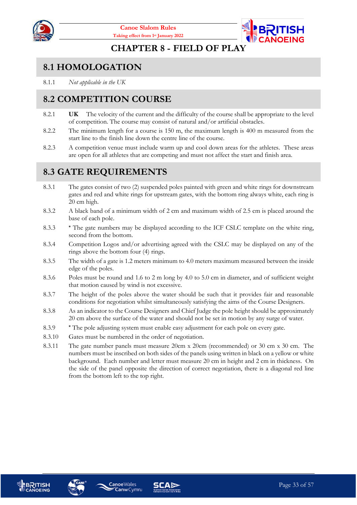



#### **CHAPTER 8 - FIELD OF PLAY**

#### <span id="page-32-1"></span><span id="page-32-0"></span>**8.1 HOMOLOGATION**

8.1.1 *Not applicable in the UK*

#### <span id="page-32-2"></span>**8.2 COMPETITION COURSE**

- 8.2.1 **UK** The velocity of the current and the difficulty of the course shall be appropriate to the level of competition. The course may consist of natural and/or artificial obstacles.
- 8.2.2 The minimum length for a course is 150 m, the maximum length is 400 m measured from the start line to the finish line down the centre line of the course.
- 8.2.3 A competition venue must include warm up and cool down areas for the athletes. These areas are open for all athletes that are competing and must not affect the start and finish area.

#### <span id="page-32-3"></span>**8.3 GATE REQUIREMENTS**

- 8.3.1 The gates consist of two (2) suspended poles painted with green and white rings for downstream gates and red and white rings for upstream gates, with the bottom ring always white, each ring is 20 cm high.
- 8.3.2 A black band of a minimum width of 2 cm and maximum width of 2.5 cm is placed around the base of each pole.
- 8.3.3 **\*** The gate numbers may be displayed according to the ICF CSLC template on the white ring, second from the bottom.
- 8.3.4 Competition Logos and/or advertising agreed with the CSLC may be displayed on any of the rings above the bottom four (4) rings.
- 8.3.5 The width of a gate is 1.2 meters minimum to 4.0 meters maximum measured between the inside edge of the poles.
- 8.3.6 Poles must be round and 1.6 to 2 m long by 4.0 to 5.0 cm in diameter, and of sufficient weight that motion caused by wind is not excessive.
- 8.3.7 The height of the poles above the water should be such that it provides fair and reasonable conditions for negotiation whilst simultaneously satisfying the aims of the Course Designers.
- 8.3.8 As an indicator to the Course Designers and Chief Judge the pole height should be approximately 20 cm above the surface of the water and should not be set in motion by any surge of water.
- 8.3.9 **\*** The pole adjusting system must enable easy adjustment for each pole on every gate.
- 8.3.10 Gates must be numbered in the order of negotiation.
- 8.3.11 The gate number panels must measure 20cm x 20cm (recommended) or 30 cm x 30 cm. The numbers must be inscribed on both sides of the panels using written in black on a yellow or white background. Each number and letter must measure 20 cm in height and 2 cm in thickness. On the side of the panel opposite the direction of correct negotiation, there is a diagonal red line from the bottom left to the top right.







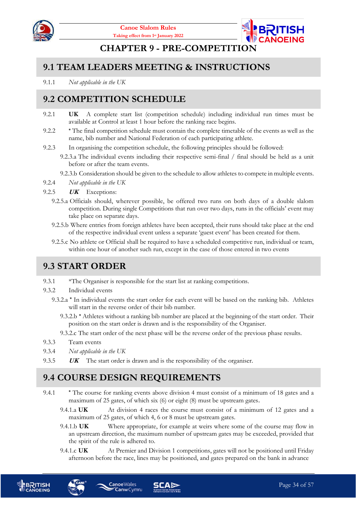



#### **CHAPTER 9 - PRE-COMPETITION**

#### <span id="page-33-1"></span><span id="page-33-0"></span>**9.1 TEAM LEADERS MEETING & INSTRUCTIONS**

9.1.1 *Not applicable in the UK*

#### <span id="page-33-2"></span>**9.2 COMPETITION SCHEDULE**

- 9.2.1 **UK** A complete start list (competition schedule) including individual run times must be available at Control at least 1 hour before the ranking race begins.
- 9.2.2 **\*** The final competition schedule must contain the complete timetable of the events as well as the name, bib number and National Federation of each participating athlete.
- 9.2.3 In organising the competition schedule, the following principles should be followed:
	- 9.2.3.a The individual events including their respective semi-final / final should be held as a unit before or after the team events.
	- 9.2.3.b Consideration should be given to the schedule to allow athletes to compete in multiple events.
- 9.2.4 *Not applicable in the UK*
- <span id="page-33-5"></span>9.2.5 **UK** Exceptions:
	- 9.2.5.a Officials should, wherever possible, be offered two runs on both days of a double slalom competition. During single Competitions that run over two days, runs in the officials' event may take place on separate days.
	- 9.2.5.b Where entries from foreign athletes have been accepted, their runs should take place at the end of the respective individual event unless a separate 'guest event' has been created for them.
	- 9.2.5.c No athlete or Official shall be required to have a scheduled competitive run, individual or team, within one hour of another such run, except in the case of those entered in two events

#### <span id="page-33-3"></span>**9.3 START ORDER**

- 9.3.1 \*The Organiser is responsible for the start list at ranking competitions.
- 9.3.2 Individual events
	- 9.3.2.a **\*** In individual events the start order for each event will be based on the ranking bib. Athletes will start in the reverse order of their bib number.
		- 9.3.2.b **\*** Athletes without a ranking bib number are placed at the beginning of the start order. Their position on the start order is drawn and is the responsibility of the Organiser.
		- 9.3.2.c The start order of the next phase will be the reverse order of the previous phase results.
- 9.3.3 Team events
- 9.3.4 *Not applicable in the UK*
- 9.3.5 **UK** The start order is drawn and is the responsibility of the organiser.

## <span id="page-33-4"></span>**9.4 COURSE DESIGN REQUIREMENTS**

- 9.4.1 **\*** The course for ranking events above division 4 must consist of a minimum of 18 gates and a maximum of 25 gates, of which six (6) or eight (8) must be upstream gates.
	- 9.4.1.a UK At division 4 races the course must consist of a minimum of 12 gates and a maximum of 25 gates, of which 4, 6 or 8 must be upstream gates.
	- 9.4.1.b **UK** Where appropriate, for example at weirs where some of the course may flow in an upstream direction, the maximum number of upstream gates may be exceeded, provided that the spirit of the rule is adhered to.
	- 9.4.1.c **UK** At Premier and Division 1 competitions, gates will not be positioned until Friday afternoon before the race, lines may be positioned, and gates prepared on the bank in advance



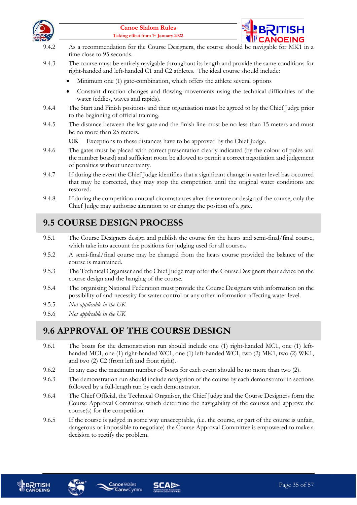



- 9.4.2 As a recommendation for the Course Designers, the course should be navigable for MK1 in a time close to 95 seconds.
- 9.4.3 The course must be entirely navigable throughout its length and provide the same conditions for right-handed and left-handed C1 and C2 athletes. The ideal course should include:
	- Minimum one (1) gate-combination, which offers the athlete several options
	- Constant direction changes and flowing movements using the technical difficulties of the water (eddies, waves and rapids).
- 9.4.4 The Start and Finish positions and their organisation must be agreed to by the Chief Judge prior to the beginning of official training.
- 9.4.5 The distance between the last gate and the finish line must be no less than 15 meters and must be no more than 25 meters.
	- **UK** Exceptions to these distances have to be approved by the Chief Judge.
- 9.4.6 The gates must be placed with correct presentation clearly indicated (by the colour of poles and the number board) and sufficient room be allowed to permit a correct negotiation and judgement of penalties without uncertainty.
- 9.4.7 If during the event the Chief Judge identifies that a significant change in water level has occurred that may be corrected, they may stop the competition until the original water conditions are restored.
- 9.4.8 If during the competition unusual circumstances alter the nature or design of the course, only the Chief Judge may authorise alteration to or change the position of a gate.

## <span id="page-34-0"></span>**9.5 COURSE DESIGN PROCESS**

- 9.5.1 The Course Designers design and publish the course for the heats and semi-final/final course, which take into account the positions for judging used for all courses.
- 9.5.2 A semi-final/final course may be changed from the heats course provided the balance of the course is maintained.
- 9.5.3 The Technical Organiser and the Chief Judge may offer the Course Designers their advice on the course design and the hanging of the course.
- 9.5.4 The organising National Federation must provide the Course Designers with information on the possibility of and necessity for water control or any other information affecting water level.
- 9.5.5 *Not applicable in the UK*
- 9.5.6 *Not applicable in the UK*

#### <span id="page-34-1"></span>**9.6 APPROVAL OF THE COURSE DESIGN**

- 9.6.1 The boats for the demonstration run should include one (1) right-handed MC1, one (1) lefthanded MC1, one (1) right-handed WC1, one (1) left-handed WC1, two (2) MK1, two (2) WK1, and two (2) C2 (front left and front right).
- 9.6.2 In any case the maximum number of boats for each event should be no more than two (2).
- 9.6.3 The demonstration run should include navigation of the course by each demonstrator in sections followed by a full-length run by each demonstrator.
- 9.6.4 The Chief Official, the Technical Organiser, the Chief Judge and the Course Designers form the Course Approval Committee which determine the navigability of the courses and approve the course(s) for the competition.
- 9.6.5 If the course is judged in some way unacceptable, (i.e. the course, or part of the course is unfair, dangerous or impossible to negotiate) the Course Approval Committee is empowered to make a decision to rectify the problem.





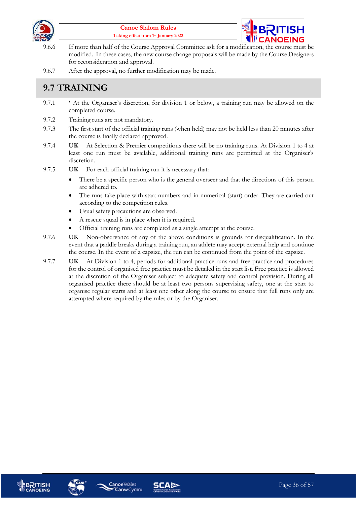



- 9.6.6 If more than half of the Course Approval Committee ask for a modification, the course must be modified. In these cases, the new course change proposals will be made by the Course Designers for reconsideration and approval.
- 9.6.7 After the approval, no further modification may be made.

## <span id="page-35-0"></span>**9.7 TRAINING**

- 9.7.1 **\*** At the Organiser's discretion, for division 1 or below, a training run may be allowed on the completed course.
- 9.7.2 Training runs are not mandatory.
- 9.7.3 The first start of the official training runs (when held) may not be held less than 20 minutes after the course is finally declared approved.
- 9.7.4 **UK** At Selection & Premier competitions there will be no training runs. At Division 1 to 4 at least one run must be available, additional training runs are permitted at the Organiser's discretion.
- 9.7.5 **UK** For each official training run it is necessary that:
	- There be a specific person who is the general overseer and that the directions of this person are adhered to.
	- The runs take place with start numbers and in numerical (start) order. They are carried out according to the competition rules.
	- Usual safety precautions are observed.
	- A rescue squad is in place when it is required.
	- Official training runs are completed as a single attempt at the course.
- 9.7.6 **UK** Non-observance of any of the above conditions is grounds for disqualification. In the event that a paddle breaks during a training run, an athlete may accept external help and continue the course. In the event of a capsize, the run can be continued from the point of the capsize.
- 9.7.7 **UK** At Division 1 to 4, periods for additional practice runs and free practice and procedures for the control of organised free practice must be detailed in the start list. Free practice is allowed at the discretion of the Organiser subject to adequate safety and control provision. During all organised practice there should be at least two persons supervising safety, one at the start to organise regular starts and at least one other along the course to ensure that full runs only are attempted where required by the rules or by the Organiser.







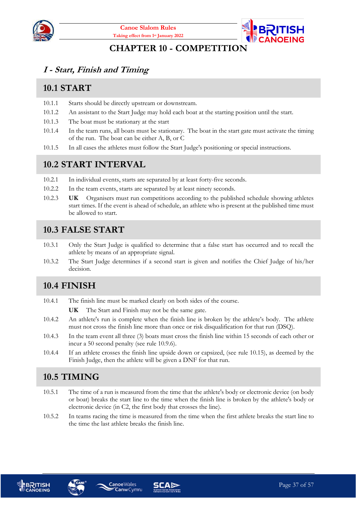



#### **CHAPTER 10 - COMPETITION**

#### <span id="page-36-1"></span><span id="page-36-0"></span>**I - Start, Finish and Timing**

#### <span id="page-36-2"></span>**10.1 START**

- 10.1.1 Starts should be directly upstream or downstream.
- 10.1.2 An assistant to the Start Judge may hold each boat at the starting position until the start.
- 10.1.3 The boat must be stationary at the start
- 10.1.4 In the team runs, all boats must be stationary. The boat in the start gate must activate the timing of the run. The boat can be either A, B, or C
- 10.1.5 In all cases the athletes must follow the Start Judge's positioning or special instructions.

#### <span id="page-36-3"></span>**10.2 START INTERVAL**

- 10.2.1 In individual events, starts are separated by at least forty-five seconds.
- 10.2.2 In the team events, starts are separated by at least ninety seconds.
- 10.2.3 **UK** Organisers must run competitions according to the published schedule showing athletes start times. If the event is ahead of schedule, an athlete who is present at the published time must be allowed to start.

#### <span id="page-36-4"></span>**10.3 FALSE START**

- 10.3.1 Only the Start Judge is qualified to determine that a false start has occurred and to recall the athlete by means of an appropriate signal.
- 10.3.2 The Start Judge determines if a second start is given and notifies the Chief Judge of his/her decision.

#### <span id="page-36-5"></span>**10.4 FINISH**

- 10.4.1 The finish line must be marked clearly on both sides of the course.
	- **UK** The Start and Finish may not be the same gate.
- 10.4.2 An athlete's run is complete when the finish line is broken by the athlete's body. The athlete must not cross the finish line more than once or risk disqualification for that run (DSQ).
- 10.4.3 In the team event all three (3) boats must cross the finish line within 15 seconds of each other or incur a 50 second penalty (see rule [10.9.6\)](#page-38-7).
- 10.4.4 If an athlete crosses the finish line upside down or capsized, (see rule [10.15\)](#page-39-2), as deemed by the Finish Judge, then the athlete will be given a DNF for that run.

## <span id="page-36-6"></span>**10.5 TIMING**

- 10.5.1 The time of a run is measured from the time that the athlete's body or electronic device (on body or boat) breaks the start line to the time when the finish line is broken by the athlete's body or electronic device (in C2, the first body that crosses the line).
- 10.5.2 In teams racing the time is measured from the time when the first athlete breaks the start line to the time the last athlete breaks the finish line.







**CanwCymru**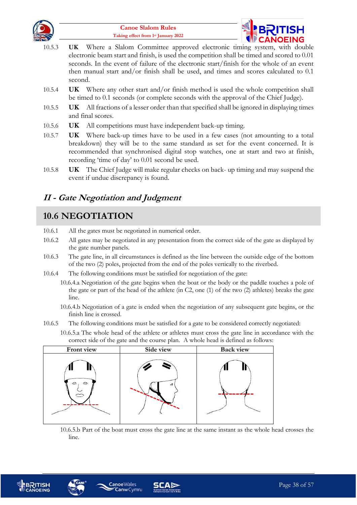



- 10.5.3 **UK** Where a Slalom Committee approved electronic timing system, with double electronic beam start and finish, is used the competition shall be timed and scored to 0.01 seconds. In the event of failure of the electronic start/finish for the whole of an event then manual start and/or finish shall be used, and times and scores calculated to 0.1 second.
- 10.5.4 **UK** Where any other start and/or finish method is used the whole competition shall be timed to 0.1 seconds (or complete seconds with the approval of the Chief Judge).
- 10.5.5 **UK** All fractions of a lesser order than that specified shall be ignored in displaying times and final scores.
- 10.5.6 **UK** All competitions must have independent back-up timing.
- 10.5.7 **UK** Where back-up times have to be used in a few cases (not amounting to a total breakdown) they will be to the same standard as set for the event concerned. It is recommended that synchronised digital stop watches, one at start and two at finish, recording 'time of day' to 0.01 second be used.
- 10.5.8 **UK** The Chief Judge will make regular checks on back- up timing and may suspend the event if undue discrepancy is found.

#### <span id="page-37-0"></span>**II - Gate Negotiation and Judgment**

#### <span id="page-37-1"></span>**10.6 NEGOTIATION**

- 10.6.1 All the gates must be negotiated in numerical order.
- 10.6.2 All gates may be negotiated in any presentation from the correct side of the gate as displayed by the gate number panels.
- 10.6.3 The gate line, in all circumstances is defined as the line between the outside edge of the bottom of the two (2) poles, projected from the end of the poles vertically to the riverbed.
- 10.6.4 The following conditions must be satisfied for negotiation of the gate:
	- 10.6.4.a Negotiation of the gate begins when the boat or the body or the paddle touches a pole of the gate or part of the head of the athlete (in C2, one (1) of the two (2) athletes) breaks the gate line.
	- 10.6.4.b Negotiation of a gate is ended when the negotiation of any subsequent gate begins, or the finish line is crossed.
- 10.6.5 The following conditions must be satisfied for a gate to be considered correctly negotiated:
	- 10.6.5.a The whole head of the athlete or athletes must cross the gate line in accordance with the correct side of the gate and the course plan. A whole head is defined as follows:



10.6.5.b Part of the boat must cross the gate line at the same instant as the whole head crosses the line.





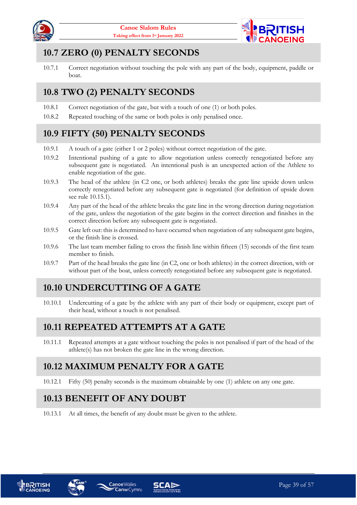



## <span id="page-38-0"></span>**10.7 ZERO (0) PENALTY SECONDS**

10.7.1 Correct negotiation without touching the pole with any part of the body, equipment, paddle or boat.

## <span id="page-38-1"></span>**10.8 TWO (2) PENALTY SECONDS**

- 10.8.1 Correct negotiation of the gate, but with a touch of one (1) or both poles.
- 10.8.2 Repeated touching of the same or both poles is only penalised once.

## <span id="page-38-2"></span>**10.9 FIFTY (50) PENALTY SECONDS**

- 10.9.1 A touch of a gate (either 1 or 2 poles) without correct negotiation of the gate.
- 10.9.2 Intentional pushing of a gate to allow negotiation unless correctly renegotiated before any subsequent gate is negotiated. An intentional push is an unexpected action of the Athlete to enable negotiation of the gate.
- 10.9.3 The head of the athlete (in C2 one, or both athletes) breaks the gate line upside down unless correctly renegotiated before any subsequent gate is negotiated (for definition of upside down see rule [10.15.1\)](#page-39-4).
- 10.9.4 Any part of the head of the athlete breaks the gate line in the wrong direction during negotiation of the gate, unless the negotiation of the gate begins in the correct direction and finishes in the correct direction before any subsequent gate is negotiated.
- 10.9.5 Gate left out: this is determined to have occurred when negotiation of any subsequent gate begins, or the finish line is crossed.
- <span id="page-38-7"></span>10.9.6 The last team member failing to cross the finish line within fifteen (15) seconds of the first team member to finish.
- 10.9.7 Part of the head breaks the gate line (in C2, one or both athletes) in the correct direction, with or without part of the boat, unless correctly renegotiated before any subsequent gate is negotiated.

## <span id="page-38-3"></span>**10.10 UNDERCUTTING OF A GATE**

10.10.1 Undercutting of a gate by the athlete with any part of their body or equipment, except part of their head, without a touch is not penalised.

#### <span id="page-38-4"></span>**10.11 REPEATED ATTEMPTS AT A GATE**

10.11.1 Repeated attempts at a gate without touching the poles is not penalised if part of the head of the athlete(s) has not broken the gate line in the wrong direction.

## <span id="page-38-5"></span>**10.12 MAXIMUM PENALTY FOR A GATE**

10.12.1 Fifty (50) penalty seconds is the maximum obtainable by one (1) athlete on any one gate.

## <span id="page-38-6"></span>**10.13 BENEFIT OF ANY DOUBT**

**Canoe**Wales

10.13.1 At all times, the benefit of any doubt must be given to the athlete.





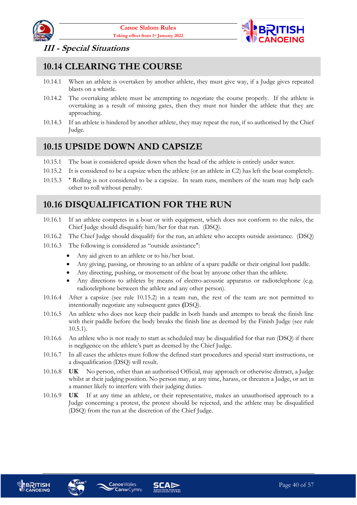



#### <span id="page-39-0"></span>**III - Special Situations**

#### <span id="page-39-1"></span>**10.14 CLEARING THE COURSE**

- 10.14.1 When an athlete is overtaken by another athlete, they must give way, if a Judge gives repeated blasts on a whistle.
- 10.14.2 The overtaking athlete must be attempting to negotiate the course properly. If the athlete is overtaking as a result of missing gates, then they must not hinder the athlete that they are approaching.
- 10.14.3 If an athlete is hindered by another athlete, they may repeat the run, if so authorised by the Chief Judge.

#### <span id="page-39-2"></span>**10.15 UPSIDE DOWN AND CAPSIZE**

- <span id="page-39-4"></span>10.15.1 The boat is considered upside down when the head of the athlete is entirely under water.
- 10.15.2 It is considered to be a capsize when the athlete (or an athlete in C2) has left the boat completely.
- 10.15.3 **\*** Rolling is not considered to be a capsize. In team runs, members of the team may help each other to roll without penalty.

#### <span id="page-39-3"></span>**10.16 DISQUALIFICATION FOR THE RUN**

- 10.16.1 If an athlete competes in a boat or with equipment, which does not conform to the rules, the Chief Judge should disqualify him/her for that run. (DSQ).
- 10.16.2 The Chief Judge should disqualify for the run, an athlete who accepts outside assistance. (DSQ)
- 10.16.3 The following is considered as "outside assistance":
	- Any aid given to an athlete or to his/her boat.
	- Any giving, passing, or throwing to an athlete of a spare paddle or their original lost paddle.
	- Any directing, pushing, or movement of the boat by anyone other than the athlete.
	- Any directions to athletes by means of electro-acoustic apparatus or radiotelephone (e.g. radiotelephone between the athlete and any other person).
- 10.16.4 After a capsize (see rule 10.15.2) in a team run, the rest of the team are not permitted to intentionally negotiate any subsequent gates **(**DSQ).
- 10.16.5 An athlete who does not keep their paddle in both hands and attempts to break the finish line with their paddle before the body breaks the finish line as deemed by the Finish Judge (see rule 10.5.1).
- 10.16.6 An athlete who is not ready to start as scheduled may be disqualified for that run (DSQ) if there is negligence on the athlete's part as deemed by the Chief Judge.
- 10.16.7 In all cases the athletes must follow the defined start procedures and special start instructions, or a disqualification (DSQ) will result.
- 10.16.8 **UK** No person, other than an authorised Official, may approach or otherwise distract, a Judge whilst at their judging position. No person may, at any time, harass, or threaten a Judge, or act in a manner likely to interfere with their judging duties.
- 10.16.9 **UK** If at any time an athlete, or their representative, makes an unauthorised approach to a Judge concerning a protest, the protest should be rejected, and the athlete may be disqualified (DSQ) from the run at the discretion of the Chief Judge.





**Canoe**Wales **Canw** Cymru

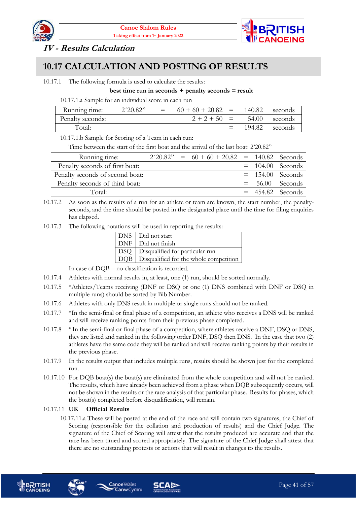



#### <span id="page-40-0"></span>**IV - Results Calculation**

#### <span id="page-40-1"></span>**10.17 CALCULATION AND POSTING OF RESULTS**

#### 10.17.1 The following formula is used to calculate the results:

#### **best time run in seconds + penalty seconds = result**

10.17.1.a Sample for an individual score in each run

| Running time:    | 2'20.82" | $=$ | $60 + 60 + 20.82 =$ | - 140.82 | – seconds |
|------------------|----------|-----|---------------------|----------|-----------|
| Penalty seconds: |          |     | $2 + 2 + 50 =$      | 54.00    | seconds   |
| Total:           |          |     | $=$                 | -194.82  | seconds   |

10.17.1.b Sample for Scoring of a Team in each run:

Time between the start of the first boat and the arrival of the last boat: 2'20.82''

| Running time:                   |  | $2'20.82" = 60 + 60 + 20.82 = 140.82$ Seconds |  |                    |
|---------------------------------|--|-----------------------------------------------|--|--------------------|
| Penalty seconds of first boat:  |  |                                               |  | $= 104.00$ Seconds |
| Penalty seconds of second boat: |  |                                               |  | $= 154.00$ Seconds |
| Penalty seconds of third boat:  |  |                                               |  | $= 56.00$ Seconds  |
| Total:                          |  |                                               |  | $= 454.82$ Seconds |

- 10.17.2 As soon as the results of a run for an athlete or team are known, the start number, the penaltyseconds, and the time should be posted in the designated place until the time for filing enquiries has elapsed.
- 10.17.3 The following notations will be used in reporting the results:

| DNS   Did not start                          |
|----------------------------------------------|
| DNF   Did not finish                         |
| DSQ   Disqualified for particular run        |
| DQB   Disqualified for the whole competition |

In case of DQB – no classification is recorded.

- 10.17.4 Athletes with normal results in, at least, one (1) run, should be sorted normally.
- 10.17.5 \*Athletes/Teams receiving (DNF or DSQ or one (1) DNS combined with DNF or DSQ in multiple runs) should be sorted by Bib Number.
- 10.17.6 Athletes with only DNS result in multiple or single runs should not be ranked.
- 10.17.7 \*In the semi-final or final phase of a competition, an athlete who receives a DNS will be ranked and will receive ranking points from their previous phase completed.
- 10.17.8 **\*** In the semi-final or final phase of a competition, where athletes receive a DNF, DSQ or DNS, they are listed and ranked in the following order DNF, DSQ then DNS. In the case that two (2) athletes have the same code they will be ranked and will receive ranking points by their results in the previous phase.
- 10.17.9 In the results output that includes multiple runs, results should be shown just for the completed run.
- 10.17.10 For DQB boat(s) the boat(s) are eliminated from the whole competition and will not be ranked. The results, which have already been achieved from a phase when DQB subsequently occurs, will not be shown in the results or the race analysis of that particular phase. Results for phases, which the boat(s) completed before disqualification, will remain.

#### 10.17.11 **UK Official Results**

10.17.11.a These will be posted at the end of the race and will contain two signatures, the Chief of Scoring (responsible for the collation and production of results) and the Chief Judge. The signature of the Chief of Scoring will attest that the results produced are accurate and that the race has been timed and scored appropriately. The signature of the Chief Judge shall attest that there are no outstanding protests or actions that will result in changes to the results.







**Canoe**Wales

**Canw** Cymru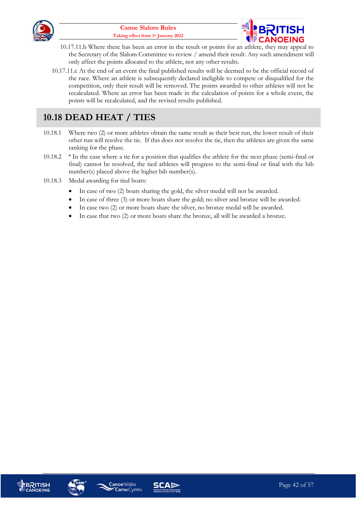



- 10.17.11.b Where there has been an error in the result or points for an athlete, they may appeal to the Secretary of the Slalom Committee to review / amend their result. Any such amendment will only affect the points allocated to the athlete, not any other results.
- 10.17.11.c At the end of an event the final published results will be deemed to be the official record of the race. Where an athlete is subsequently declared ineligible to compete or disqualified for the competition, only their result will be removed. The points awarded to other athletes will not be recalculated. Where an error has been made in the calculation of points for a whole event, the points will be recalculated, and the revised results published.

#### <span id="page-41-0"></span>**10.18 DEAD HEAT / TIES**

- 10.18.1 Where two (2) or more athletes obtain the same result as their best run, the lower result of their other run will resolve the tie. If this does not resolve the tie, then the athletes are given the same ranking for the phase.
- 10.18.2 **\*** In the case where a tie for a position that qualifies the athlete for the next phase (semi-final or final) cannot be resolved, the tied athletes will progress to the semi-final or final with the bib number(s) placed above the higher bib number(s).
- 10.18.3 Medal awarding for tied boats:
	- In case of two (2) boats sharing the gold, the silver medal will not be awarded.
	- In case of three (3) or more boats share the gold; no silver and bronze will be awarded.
	- In case two (2) or more boats share the silver, no bronze medal will be awarded.
	- In case that two (2) or more boats share the bronze, all will be awarded a bronze.







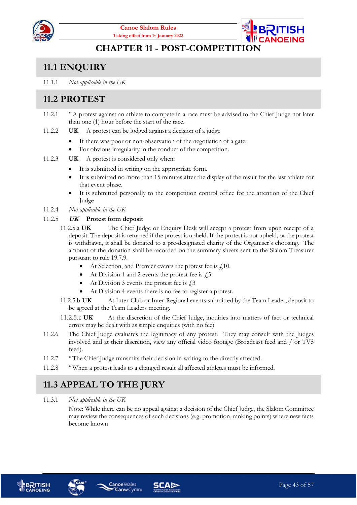



#### **CHAPTER 11 - POST-COMPETITION**

## <span id="page-42-1"></span><span id="page-42-0"></span>**11.1 ENQUIRY**

11.1.1 *Not applicable in the UK*

## <span id="page-42-2"></span>**11.2 PROTEST**

- 11.2.1 **\*** A protest against an athlete to compete in a race must be advised to the Chief Judge not later than one (1) hour before the start of the race.
- 11.2.2 **UK** A protest can be lodged against a decision of a judge
	- If there was poor or non-observation of the negotiation of a gate.
	- For obvious irregularity in the conduct of the competition.
- 11.2.3 **UK** A protest is considered only when:
	- It is submitted in writing on the appropriate form.
	- It is submitted no more than 15 minutes after the display of the result for the last athlete for that event phase.
	- It is submitted personally to the competition control office for the attention of the Chief Judge
- 11.2.4 *Not applicable in the UK*

#### 11.2.5 **UK Protest form deposit**

- 11.2.5.a **UK** The Chief Judge or Enquiry Desk will accept a protest from upon receipt of a deposit. The deposit is returned if the protest is upheld. If the protest is not upheld, or the protest is withdrawn, it shall be donated to a pre-designated charity of the Organiser's choosing. The amount of the donation shall be recorded on the summary sheets sent to the Slalom Treasurer pursuant to rule 19.7.9.
	- At Selection, and Premier events the protest fee is  $\ell$ 10.
	- At Division 1 and 2 events the protest fee is  $\sqrt{5}$
	- At Division 3 events the protest fee is  $\hat{L}^3$
	- At Division 4 events there is no fee to register a protest.
- 11.2.5.b **UK** At Inter-Club or Inter-Regional events submitted by the Team Leader, deposit to be agreed at the Team Leaders meeting.
- 11.2.5.c UK At the discretion of the Chief Judge, inquiries into matters of fact or technical errors may be dealt with as simple enquiries (with no fee).
- 11.2.6 The Chief Judge evaluates the legitimacy of any protest. They may consult with the Judges involved and at their discretion, view any official video footage (Broadcast feed and / or TVS feed).
- 11.2.7 **\*** The Chief Judge transmits their decision in writing to the directly affected.
- 11.2.8 **\*** When a protest leads to a changed result all affected athletes must be informed.

## <span id="page-42-3"></span>**11.3 APPEAL TO THE JURY**

**Canoe**Wales

#### 11.3.1 *Not applicable in the UK*

Note: While there can be no appeal against a decision of the Chief Judge, the Slalom Committee may review the consequences of such decisions (e.g. promotion, ranking points) where new facts become known





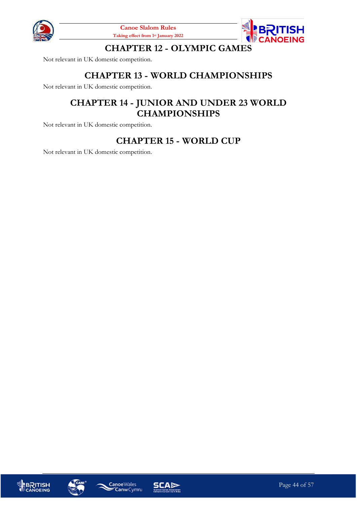



#### **CHAPTER 12 - OLYMPIC GAMES**

<span id="page-43-1"></span><span id="page-43-0"></span>Not relevant in UK domestic competition.

#### **CHAPTER 13 - WORLD CHAMPIONSHIPS**

<span id="page-43-2"></span>Not relevant in UK domestic competition.

#### **CHAPTER 14 - JUNIOR AND UNDER 23 WORLD CHAMPIONSHIPS**

<span id="page-43-3"></span>Not relevant in UK domestic competition.

#### **CHAPTER 15 - WORLD CUP**

Not relevant in UK domestic competition.







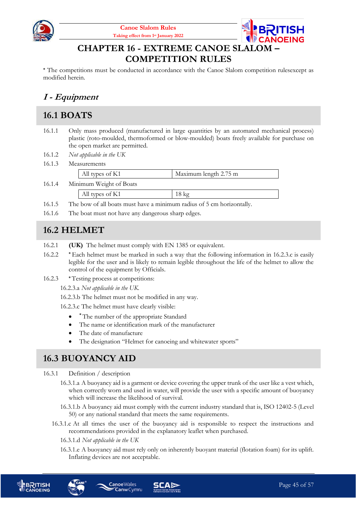



#### **CHAPTER 16 - EXTREME CANOE SLALOM – COMPETITION RULES**

<span id="page-44-0"></span>**\*** The competitions must be conducted in accordance with the Canoe Slalom competition rulesexcept as modified herein.

## <span id="page-44-1"></span>**I - Equipment**

#### <span id="page-44-2"></span>**16.1 BOATS**

- 16.1.1 Only mass produced (manufactured in large quantities by an automated mechanical process) plastic (roto-moulded, thermoformed or blow-moulded) boats freely available for purchase on the open market are permitted.
- 16.1.2 *Not applicable in the UK*
- 16.1.3 Measurements

|        | All types of K1         | Maximum length 2.75 m |
|--------|-------------------------|-----------------------|
| 16.1.4 | Minimum Weight of Boats |                       |
|        | All types of K1         | $18 \text{ kg}$       |

- 16.1.5 The bow of all boats must have a minimum radius of 5 cm horizontally.
- 16.1.6 The boat must not have any dangerous sharp edges.

#### <span id="page-44-3"></span>**16.2 HELMET**

- 16.2.1 **(UK)** The helmet must comply with EN 1385 or equivalent.
- 16.2.2 **\*** Each helmet must be marked in such a way that the following information in [16.2.3.c](#page-44-5) is easily legible for the user and is likely to remain legible throughout the life of the helmet to allow the control of the equipment by Officials.
- 16.2.3 **\* Testing process at competitions:**

16.2.3.a *Not applicable in the UK.*

16.2.3.b The helmet must not be modified in any way.

<span id="page-44-5"></span>16.2.3.c The helmet must have clearly visible:

- **\*** The number of the appropriate Standard
- The name or identification mark of the manufacturer
- The date of manufacture
- The designation "Helmet for canoeing and whitewater sports"

#### <span id="page-44-4"></span>**16.3 BUOYANCY AID**

16.3.1 Definition / description

- 16.3.1.a A buoyancy aid is a garment or device covering the upper trunk of the user like a vest which, when correctly worn and used in water, will provide the user with a specific amount of buoyancy which will increase the likelihood of survival.
- 16.3.1.b A buoyancy aid must comply with the current industry standard that is, ISO 12402-5 (Level 50) or any national standard that meets the same requirements.
- 16.3.1.c At all times the user of the buoyancy aid is responsible to respect the instructions and recommendations provided in the explanatory leaflet when purchased.
	- 16.3.1.d *Not applicable in the UK*
	- 16.3.1.e A buoyancy aid must rely only on inherently buoyant material (flotation foam) for its uplift. Inflating devices are not acceptable.



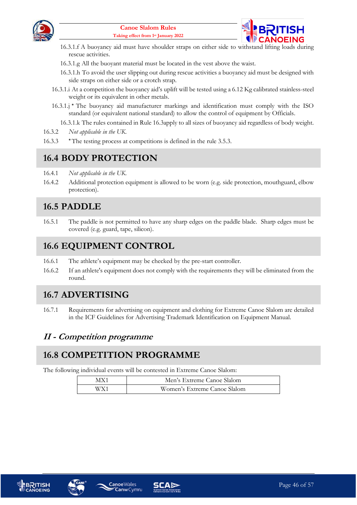



- 16.3.1.f A buoyancy aid must have shoulder straps on either side to withstand lifting loads during rescue activities.
- 16.3.1.g All the buoyant material must be located in the vest above the waist.
- 16.3.1.h To avoid the user slipping out during rescue activities a buoyancy aid must be designed with side straps on either side or a crotch strap.
- 16.3.1.i At a competition the buoyancy aid's uplift will be tested using a 6.12 Kg calibrated stainless-steel weight or its equivalent in other metals.
- 16.3.1.j **\*** The buoyancy aid manufacturer markings and identification must comply with the ISO standard (or equivalent national standard) to allow the control of equipment by Officials.
	- 16.3.1.k The rules contained in Rule [16.3a](#page-44-4)pply to all sizes of buoyancy aid regardless of body weight.
- 16.3.2 *Not applicable in the UK.*
- 16.3.3 **\*** The testing process at competitions is defined in the rule [3.5.3.](#page-16-3)

#### <span id="page-45-0"></span>**16.4 BODY PROTECTION**

- 16.4.1 *Not applicable in the UK.*
- 16.4.2 Additional protection equipment is allowed to be worn (e.g. side protection, mouthguard, elbow protection).

#### <span id="page-45-1"></span>**16.5 PADDLE**

16.5.1 The paddle is not permitted to have any sharp edges on the paddle blade. Sharp edges must be covered (e.g. guard, tape, silicon).

#### <span id="page-45-2"></span>**16.6 EQUIPMENT CONTROL**

- 16.6.1 The athlete's equipment may be checked by the pre-start controller.
- 16.6.2 If an athlete's equipment does not comply with the requirements they will be eliminated from the round.

#### <span id="page-45-3"></span>**16.7 ADVERTISING**

16.7.1 Requirements for advertising on equipment and clothing for Extreme Canoe Slalom are detailed in the ICF Guidelines for Advertising Trademark Identification on Equipment Manual.

#### <span id="page-45-4"></span>**II - Competition programme**

#### <span id="page-45-5"></span>**16.8 COMPETITION PROGRAMME**

**Canoe**Wales

The following individual events will be contested in Extreme Canoe Slalom:

| MY 1  | Men's Extreme Canoe Slalom   |
|-------|------------------------------|
| W/V 1 | Women's Extreme Canoe Slalom |





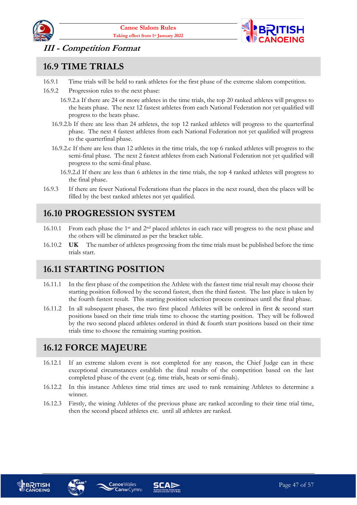



#### <span id="page-46-0"></span>**III - Competition Format**

#### <span id="page-46-1"></span>**16.9 TIME TRIALS**

- 16.9.1 Time trials will be held to rank athletes for the first phase of the extreme slalom competition.
- 16.9.2 Progression rules to the next phase:
	- 16.9.2.a If there are 24 or more athletes in the time trials, the top 20 ranked athletes will progress to the heats phase. The next 12 fastest athletes from each National Federation not yet qualified will progress to the heats phase.
	- 16.9.2.b If there are less than 24 athletes, the top 12 ranked athletes will progress to the quarterfinal phase. The next 4 fastest athletes from each National Federation not yet qualified will progress to the quarterfinal phase.
	- 16.9.2.c If there are less than 12 athletes in the time trials, the top 6 ranked athletes will progress to the semi-final phase. The next 2 fastest athletes from each National Federation not yet qualified will progress to the semi-final phase.
		- 16.9.2.d If there are less than 6 athletes in the time trials, the top 4 ranked athletes will progress to the final phase.
- 16.9.3 If there are fewer National Federations than the places in the next round, then the places will be filled by the best ranked athletes not yet qualified.

#### <span id="page-46-2"></span>**16.10 PROGRESSION SYSTEM**

- 16.10.1 From each phase the 1st and 2nd placed athletes in each race will progress to the next phase and the others will be eliminated as per the bracket table.
- 16.10.2 **UK** The number of athletes progressing from the time trials must be published before the time trials start.

#### <span id="page-46-3"></span>**16.11 STARTING POSITION**

- 16.11.1 In the first phase of the competition the Athlete with the fastest time trial result may choose their starting position followed by the second fastest, then the third fastest. The last place is taken by the fourth fastest result. This starting position selection process continues until the final phase.
- 16.11.2 In all subsequent phases, the two first placed Athletes will be ordered in first & second start positions based on their time trials time to choose the starting position. They will be followed by the two second placed athletes ordered in third & fourth start positions based on their time trials time to choose the remaining starting position.

#### <span id="page-46-4"></span>**16.12 FORCE MAJEURE**

- 16.12.1 If an extreme slalom event is not completed for any reason, the Chief Judge can in these exceptional circumstances establish the final results of the competition based on the last completed phase of the event (e.g. time trials, heats or semi-finals).
- 16.12.2 In this instance Athletes time trial times are used to rank remaining Athletes to determine a winner.
- 16.12.3 Firstly, the wining Athletes of the previous phase are ranked according to their time trial time, then the second placed athletes etc. until all athletes are ranked.





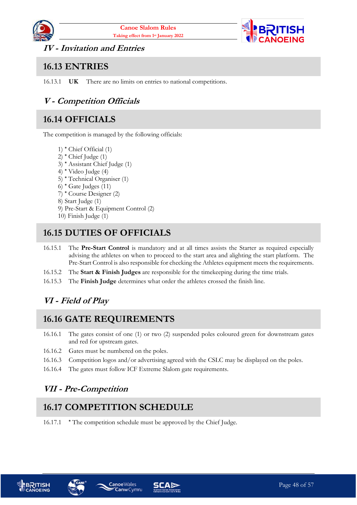



<span id="page-47-0"></span>**IV - Invitation and Entries**

#### <span id="page-47-1"></span>**16.13 ENTRIES**

16.13.1 **UK** There are no limits on entries to national competitions.

#### <span id="page-47-2"></span>**V - Competition Officials**

#### <span id="page-47-3"></span>**16.14 OFFICIALS**

The competition is managed by the following officials:

- 1) **\*** Chief Official (1)
- 2) **\*** Chief Judge (1)
- 3) **\*** Assistant Chief Judge (1)
- 4) **\*** Video Judge (4)
- 5) **\*** Technical Organiser (1)
- 6) **\*** Gate Judges (11)
- 7) **\*** Course Designer (2)

8) Start Judge (1)

- 9) Pre-Start & Equipment Control (2)
- 10) Finish Judge (1)

#### <span id="page-47-4"></span>**16.15 DUTIES OF OFFICIALS**

- 16.15.1 The **Pre-Start Control** is mandatory and at all times assists the Starter as required especially advising the athletes on when to proceed to the start area and alighting the start platform. The Pre-Start Control is also responsible for checking the Athletes equipment meets the requirements.
- 16.15.2 The **Start & Finish Judges** are responsible for the timekeeping during the time trials.
- 16.15.3 The **Finish Judge** determines what order the athletes crossed the finish line.

#### <span id="page-47-5"></span>**VI - Field of Play**

## <span id="page-47-6"></span>**16.16 GATE REQUIREMENTS**

- 16.16.1 The gates consist of one (1) or two (2) suspended poles coloured green for downstream gates and red for upstream gates.
- 16.16.2 Gates must be numbered on the poles.
- 16.16.3 Competition logos and/or advertising agreed with the CSLC may be displayed on the poles.
- <span id="page-47-7"></span>16.16.4 The gates must follow ICF Extreme Slalom gate requirements.

#### **VII - Pre-Competition**

## <span id="page-47-8"></span>**16.17 COMPETITION SCHEDULE**

**Canw** Cymru

16.17.1 **\*** The competition schedule must be approved by the Chief Judge.





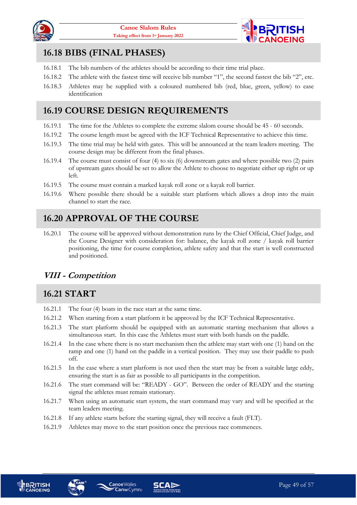



#### <span id="page-48-0"></span>**16.18 BIBS (FINAL PHASES)**

- 16.18.1 The bib numbers of the athletes should be according to their time trial place.
- 16.18.2 The athlete with the fastest time will receive bib number "1", the second fastest the bib "2", etc.
- 16.18.3 Athletes may be supplied with a coloured numbered bib (red, blue, green, yellow) to ease identification

#### <span id="page-48-1"></span>**16.19 COURSE DESIGN REQUIREMENTS**

- 16.19.1 The time for the Athletes to complete the extreme slalom course should be 45 60 seconds.
- 16.19.2 The course length must be agreed with the ICF Technical Representative to achieve this time.
- 16.19.3 The time trial may be held with gates. This will be announced at the team leaders meeting. The course design may be different from the final phases.
- 16.19.4 The course must consist of four (4) to six (6) downstream gates and where possible two (2) pairs of upstream gates should be set to allow the Athlete to choose to negotiate either up right or up left.
- 16.19.5 The course must contain a marked kayak roll zone or a kayak roll barrier.
- 16.19.6 Where possible there should be a suitable start platform which allows a drop into the main channel to start the race.

## <span id="page-48-2"></span>**16.20 APPROVAL OF THE COURSE**

16.20.1 The course will be approved without demonstration runs by the Chief Official, Chief Judge, and the Course Designer with consideration for: balance, the kayak roll zone / kayak roll barrier positioning, the time for course completion, athlete safety and that the start is well constructed and positioned.

#### <span id="page-48-3"></span>**VIII - Competition**

#### <span id="page-48-4"></span>**16.21 START**

- 16.21.1 The four (4) boats in the race start at the same time.
- 16.21.2 When starting from a start platform it be approved by the ICF Technical Representative.
- 16.21.3 The start platform should be equipped with an automatic starting mechanism that allows a simultaneous start. In this case the Athletes must start with both hands on the paddle.
- 16.21.4 In the case where there is no start mechanism then the athlete may start with one (1) hand on the ramp and one (1) hand on the paddle in a vertical position. They may use their paddle to push off.
- 16.21.5 In the case where a start platform is not used then the start may be from a suitable large eddy, ensuring the start is as fair as possible to all participants in the competition.
- 16.21.6 The start command will be: "READY GO". Between the order of READY and the starting signal the athletes must remain stationary.
- 16.21.7 When using an automatic start system, the start command may vary and will be specified at the team leaders meeting.
- 16.21.8 If any athlete starts before the starting signal, they will receive a fault (FLT).
- 16.21.9 Athletes may move to the start position once the previous race commences.







**Canw** Cymru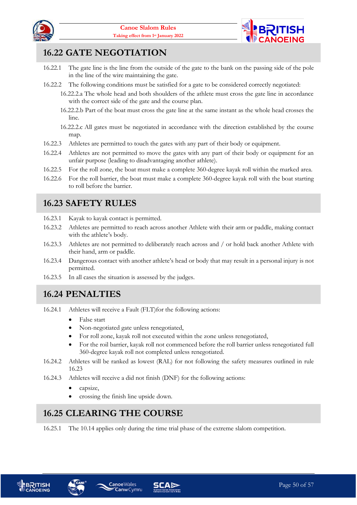



#### <span id="page-49-0"></span>**16.22 GATE NEGOTIATION**

- 16.22.1 The gate line is the line from the outside of the gate to the bank on the passing side of the pole in the line of the wire maintaining the gate.
- 16.22.2 The following conditions must be satisfied for a gate to be considered correctly negotiated:
	- 16.22.2.a The whole head and both shoulders of the athlete must cross the gate line in accordance with the correct side of the gate and the course plan.
	- 16.22.2.b Part of the boat must cross the gate line at the same instant as the whole head crosses the line.
	- 16.22.2.c All gates must be negotiated in accordance with the direction established by the course map.
- 16.22.3 Athletes are permitted to touch the gates with any part of their body or equipment.
- 16.22.4 Athletes are not permitted to move the gates with any part of their body or equipment for an unfair purpose (leading to disadvantaging another athlete).
- 16.22.5 For the roll zone, the boat must make a complete 360-degree kayak roll within the marked area.
- 16.22.6 For the roll barrier, the boat must make a complete 360-degree kayak roll with the boat starting to roll before the barrier.

#### <span id="page-49-1"></span>**16.23 SAFETY RULES**

- 16.23.1 Kayak to kayak contact is permitted.
- 16.23.2 Athletes are permitted to reach across another Athlete with their arm or paddle, making contact with the athlete's body.
- 16.23.3 Athletes are not permitted to deliberately reach across and / or hold back another Athlete with their hand, arm or paddle.
- 16.23.4 Dangerous contact with another athlete's head or body that may result in a personal injury is not permitted.
- 16.23.5 In all cases the situation is assessed by the judges.

#### <span id="page-49-2"></span>**16.24 PENALTIES**

- 16.24.1 Athletes will receive a Fault (FLT)for the following actions:
	- False start
	- Non-negotiated gate unless renegotiated,
	- For roll zone, kayak roll not executed within the zone unless renegotiated,
	- For the roil barrier, kayak roll not commenced before the roll barrier unless renegotiated full 360-degree kayak roll not completed unless renegotiated.
- 16.24.2 Athletes will be ranked as lowest (RAL) for not following the safety measures outlined in rule [16.23](#page-49-1)
- 16.24.3 Athletes will receive a did not finish (DNF) for the following actions:
	- capsize,
	- crossing the finish line upside down.

**CanwCymru** 

#### <span id="page-49-3"></span>**16.25 CLEARING THE COURSE**

16.25.1 The [10.14](#page-39-1) applies only during the time trial phase of the extreme slalom competition.





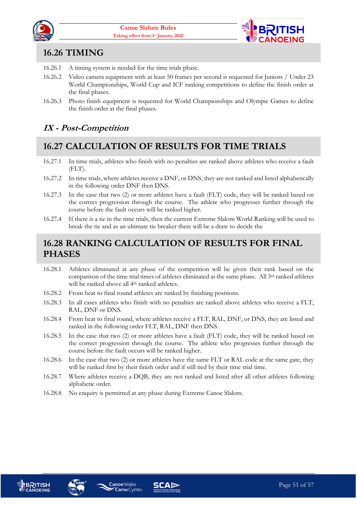



#### <span id="page-50-0"></span>**16.26 TIMING**

- 16.26.1 A timing system is needed for the time trials phase.
- 16.26.2 Video camera equipment with at least 50 frames per second is requested for Juniors / Under 23 World Championships, World Cup and ICF ranking competitions to define the finish order at the final phases.
- 16.26.3 Photo finish equipment is requested for World Championships and Olympic Games to define the finish order at the final phases.

#### <span id="page-50-1"></span>**IX - Post-Competition**

#### <span id="page-50-2"></span>**16.27 CALCULATION OF RESULTS FOR TIME TRIALS**

- 16.27.1 In time trials, athletes who finish with no penalties are ranked above athletes who receive a fault (FLT).
- 16.27.2 In time trials, where athletes receive a DNF, or DNS, they are not ranked and listed alphabetically in the following order DNF then DNS.
- 16.27.3 In the case that two (2) or more athletes have a fault (FLT) code, they will be ranked based on the correct progression through the course. The athlete who progresses further through the course before the fault occurs will be ranked higher.
- 16.27.4 If there is a tie in the time trials, then the current Extreme Slalom World Ranking will be used to break the tie and as an ultimate tie breaker there will be a draw to decide the

#### <span id="page-50-3"></span>**16.28 RANKING CALCULATION OF RESULTS FOR FINAL PHASES**

- 16.28.1 Athletes eliminated at any phase of the competition will be given their rank based on the comparison of the time trial times of athletes eliminated at the same phase. All 3rd ranked athletes will be ranked above all 4<sup>th</sup> ranked athletes.
- 16.28.2 From heat to final round athletes are ranked by finishing positions.
- 16.28.3 In all cases athletes who finish with no penalties are ranked above athletes who receive a FLT, RAL, DNF or DNS.
- 16.28.4 From heat to final round, where athletes receive a FLT, RAL, DNF, or DNS, they are listed and ranked in the following order FLT, RAL, DNF then DNS.
- 16.28.5 In the case that two (2) or more athletes have a fault (FLT) code, they will be ranked based on the correct progression through the course. The athlete who progresses further through the course before the fault occurs will be ranked higher.
- 16.28.6 In the case that two (2) or more athletes have the same FLT or RAL code at the same gate, they will be ranked first by their finish order and if still tied by their time trial time.
- 16.28.7 Where athletes receive a DQB, they are not ranked and listed after all other athletes following alphabetic order.
- 16.28.8 No enquiry is permitted at any phase during Extreme Canoe Slalom.







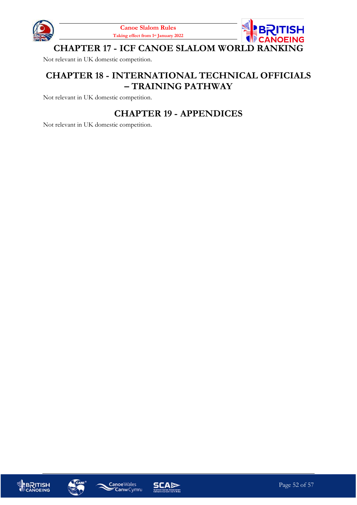



<span id="page-51-0"></span>Not relevant in UK domestic competition.

#### <span id="page-51-1"></span>**CHAPTER 18 - INTERNATIONAL TECHNICAL OFFICIALS – TRAINING PATHWAY**

<span id="page-51-2"></span>Not relevant in UK domestic competition.

#### **CHAPTER 19 - APPENDICES**

Not relevant in UK domestic competition.







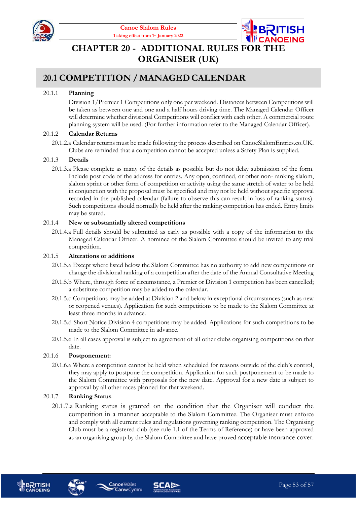



## <span id="page-52-0"></span>**CHAPTER 20 - ADDITIONAL RULES FOR T ORGANISER (UK)**

#### <span id="page-52-1"></span>**20.1 COMPETITION /MANAGEDCALENDAR**

#### 20.1.1 **Planning**

Division 1/Premier 1 Competitions only one per weekend. Distances between Competitions will be taken as between one and one and a half hours driving time. The Managed Calendar Officer will determine whether divisional Competitions will conflict with each other. A commercial route planning system will be used. (For further information refer to the Managed Calendar Officer).

#### 20.1.2 **Calendar Returns**

20.1.2.a Calendar returns must be made following the process described on CanoeSlalomEntries.co.UK. Clubs are reminded that a competition cannot be accepted unless a Safety Plan is supplied.

#### 20.1.3 **Details**

20.1.3.a Please complete as many of the details as possible but do not delay submission of the form. Include post code of the address for entries. Any open, confined, or other non- ranking slalom, slalom sprint or other form of competition or activity using the same stretch of water to be held in conjunction with the proposal must be specified and may not be held without specific approval recorded in the published calendar (failure to observe this can result in loss of ranking status). Such competitions should normally be held after the ranking competition has ended. Entry limits may be stated.

#### 20.1.4 **New or substantially altered competitions**

20.1.4.a Full details should be submitted as early as possible with a copy of the information to the Managed Calendar Officer. A nominee of the Slalom Committee should be invited to any trial competition.

#### 20.1.5 **Alterations or additions**

- 20.1.5.a Except where listed below the Slalom Committee has no authority to add new competitions or change the divisional ranking of a competition after the date of the Annual Consultative Meeting
- 20.1.5.b Where, through force of circumstance, a Premier or Division 1 competition has been cancelled; a substitute competition may be added to the calendar.
- 20.1.5.c Competitions may be added at Division 2 and below in exceptional circumstances (such as new or reopened venues). Application for such competitions to be made to the Slalom Committee at least three months in advance.
- 20.1.5.d Short Notice Division 4 competitions may be added. Applications for such competitions to be made to the Slalom Committee in advance.
- 20.1.5.e In all cases approval is subject to agreement of all other clubs organising competitions on that date.

#### 20.1.6 **Postponement:**

20.1.6.a Where a competition cannot be held when scheduled for reasons outside of the club's control, they may apply to postpone the competition. Application for such postponement to be made to the Slalom Committee with proposals for the new date. Approval for a new date is subject to approval by all other races planned for that weekend.

#### 20.1.7 **Ranking Status**

20.1.7.a Ranking status is granted on the condition that the Organiser will conduct the competition in a manner acceptable to the Slalom Committee. The Organiser must enforce and comply with all current rules and regulations governing ranking competition. The Organising Club must be a registered club (see rule 1.1 of the Terms of Reference) or have been approved as an organising group by the Slalom Committee and have proved acceptable insurance cover.







**Canoe**Wales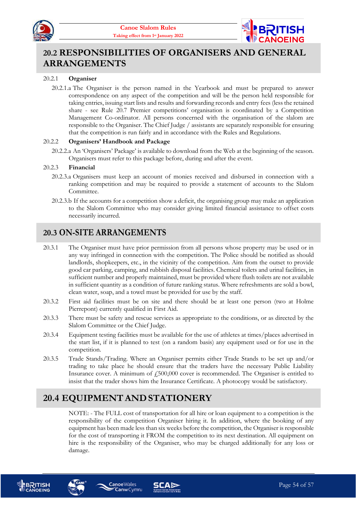



#### <span id="page-53-0"></span>**20.2 RESPONSIBILITIES OF ORGANISERS AND GENERAL ARRANGEMENTS**

#### 20.2.1 **Organiser**

20.2.1.a The Organiser is the person named in the Yearbook and must be prepared to answer correspondence on any aspect of the competition and will be the person held responsible for taking entries, issuing start lists and results and forwarding records and entry fees (less the retained share - see Rule [20.7](#page-55-0) Premier competitions' organisation is coordinated by a Competition Management Co-ordinator. All persons concerned with the organisation of the slalom are responsible to the Organiser. The Chief Judge / assistants are separately responsible for ensuring that the competition is run fairly and in accordance with the Rules and Regulations.

#### 20.2.2 **Organisers' Handbook and Package**

20.2.2.a An 'Organisers' Package' is available to download from the Web at the beginning of the season. Organisers must refer to this package before, during and after the event.

#### 20.2.3 **Financial**

- 20.2.3.a Organisers must keep an account of monies received and disbursed in connection with a ranking competition and may be required to provide a statement of accounts to the Slalom Committee.
- 20.2.3.b If the accounts for a competition show a deficit, the organising group may make an application to the Slalom Committee who may consider giving limited financial assistance to offset costs necessarily incurred.

#### <span id="page-53-1"></span>**20.3 ON-SITE ARRANGEMENTS**

- 20.3.1 The Organiser must have prior permission from all persons whose property may be used or in any way infringed in connection with the competition. The Police should be notified as should landlords, shopkeepers, etc., in the vicinity of the competition. Aim from the outset to provide good car parking, camping, and rubbish disposal facilities. Chemical toilets and urinal facilities, in sufficient number and properly maintained, must be provided where flush toilets are not available in sufficient quantity as a condition of future ranking status. Where refreshments are sold a bowl, clean water, soap, and a towel must be provided for use by the staff.
- 20.3.2 First aid facilities must be on site and there should be at least one person (two at Holme Pierrepont) currently qualified in First Aid.
- 20.3.3 There must be safety and rescue services as appropriate to the conditions, or as directed by the Slalom Committee or the Chief Judge.
- 20.3.4 Equipment testing facilities must be available for the use of athletes at times/places advertised in the start list, if it is planned to test (on a random basis) any equipment used or for use in the competition.
- 20.3.5 Trade Stands/Trading. Where an Organiser permits either Trade Stands to be set up and/or trading to take place he should ensure that the traders have the necessary Public Liability Insurance cover. A minimum of  $f_2$ 500,000 cover is recommended. The Organiser is entitled to insist that the trader shows him the Insurance Certificate. A photocopy would be satisfactory.

#### <span id="page-53-2"></span>**20.4 EQUIPMENTANDSTATIONERY**

**Canoe**Wales

**Canw** Cymru

NOTE: - The FULL cost of transportation for all hire or loan equipment to a competition is the responsibility of the competition Organiser hiring it. In addition, where the booking of any equipment has been made less than six weeks before the competition, the Organiser is responsible for the cost of transporting it FROM the competition to its next destination. All equipment on hire is the responsibility of the Organiser, who may be charged additionally for any loss or damage.





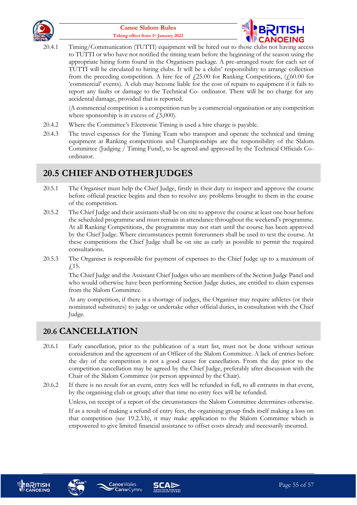



20.4.1 Timing/Communication (TUTTI) equipment will be hired out to those clubs not having access to TUTTI or who have not notified the timing team before the beginning of the season using the appropriate hiring form found in the Organisers package. A pre-arranged route for each set of TUTTI will be circulated to hiring clubs. It will be a clubs' responsibility to arrange collection from the preceding competition. A hire fee of  $\text{\textsterling}25.00$  for Ranking Competitions,  $(\text{\textsterling}60.00$  for 'commercial' events). A club may become liable for the cost of repairs to equipment if it fails to report any faults or damage to the Technical Co- ordinator. There will be no charge for any accidental damage, provided that is reported.

(A commercial competition is a competition run by a commercial organisation or any competition where sponsorship is in excess of  $\ell$ , 5,000).

- 20.4.2 Where the Committee's Electronic Timing is used a hire charge is payable.
- 20.4.3 The travel expenses for the Timing Team who transport and operate the technical and timing equipment at Ranking competitions and Championships are the responsibility of the Slalom Committee (Judging / Timing Fund), to be agreed and approved by the Technical Officials Coordinator.

#### <span id="page-54-0"></span>**20.5 CHIEF AND OTHERJUDGES**

- 20.5.1 The Organiser must help the Chief Judge, firstly in their duty to inspect and approve the course before official practice begins and then to resolve any problems brought to them in the course of the competition.
- 20.5.2 The Chief Judge and their assistants shall be on site to approve the course at least one hour before the scheduled programme and must remain in attendance throughout the weekend's programme. At all Ranking Competitions, the programme may not start until the course has been approved by the Chief Judge. Where circumstances permit forerunners shall be used to test the course. At these competitions the Chief Judge shall be on site as early as possible to permit the required consultations.
- 20.5.3 The Organiser is responsible for payment of expenses to the Chief Judge up to a maximum of £15.

The Chief Judge and the Assistant Chief Judges who are members of the Section Judge Panel and who would otherwise have been performing Section Judge duties, are entitled to claim expenses from the Slalom Committee.

At any competition, if there is a shortage of judges, the Organiser may require athletes (or their nominated substitutes) to judge or undertake other official duties, in consultation with the Chief Judge.

#### <span id="page-54-1"></span>**20.6 CANCELLATION**

- 20.6.1 Early cancellation, prior to the publication of a start list, must not be done without serious consideration and the agreement of an Officer of the Slalom Committee. A lack of entries before the day of the competition is not a good cause for cancellation. From the day prior to the competition cancellation may be agreed by the Chief Judge, preferably after discussion with the Chair of the Slalom Committee (or person appointed by the Chair).
- 20.6.2 If there is no result for an event, entry fees will be refunded in full, to all entrants in that event, by the organising club or group; after that time no entry fees will be refunded.

Unless, on receipt of a report of the circumstances the Slalom Committee determines otherwise.

If as a result of making a refund of entry fees, the organising group finds itself making a loss on that competition (see 19.2.3.b), it may make application to the Slalom Committee which is empowered to give limited financial assistance to offset costs already and necessarily incurred.







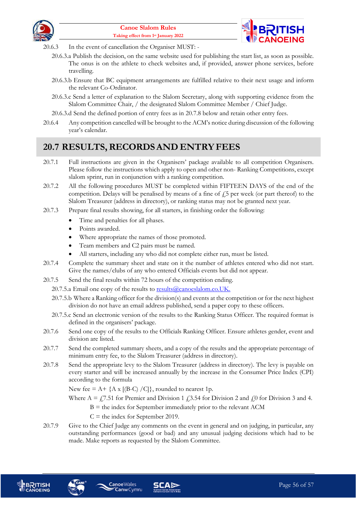



- 20.6.3 In the event of cancellation the Organiser MUST:
	- 20.6.3.a Publish the decision, on the same website used for publishing the start list, as soon as possible. The onus is on the athlete to check websites and, if provided, answer phone services, before travelling.
	- 20.6.3.b Ensure that BC equipment arrangements are fulfilled relative to their next usage and inform the relevant Co-Ordinator.
	- 20.6.3.c Send a letter of explanation to the Slalom Secretary, along with supporting evidence from the Slalom Committee Chair, / the designated Slalom Committee Member / Chief Judge.
	- 20.6.3.d Send the defined portion of entry fees as in [20.7.8](#page-55-1) below and retain other entry fees.
- 20.6.4 Any competition cancelled will be brought to the ACM's notice during discussion of the following year's calendar.

#### <span id="page-55-0"></span>**20.7 RESULTS,RECORDSAND ENTRYFEES**

- 20.7.1 Full instructions are given in the Organisers' package available to all competition Organisers. Please follow the instructions which apply to open and other non- Ranking Competitions, except slalom sprint, run in conjunction with a ranking competition.
- 20.7.2 All the following procedures MUST be completed within FIFTEEN DAYS of the end of the competition. Delays will be penalised by means of a fine of  $\ddot{f}$ , per week (or part thereof) to the Slalom Treasurer (address in directory), or ranking status may not be granted next year.
- 20.7.3 Prepare final results showing, for all starters, in finishing order the following:
	- Time and penalties for all phases.
	- Points awarded.
	- Where appropriate the names of those promoted.
	- Team members and C2 pairs must be named.
	- All starters, including any who did not complete either run, must be listed.
- 20.7.4 Complete the summary sheet and state on it the number of athletes entered who did not start. Give the names/clubs of any who entered Officials events but did not appear.
- 20.7.5 Send the final results within 72 hours of the competition ending.
	- 20.7.5.a Email one copy of the [r](mailto:results@canoeslalom.co.uk)esults to results @canoeslalom.co.UK.
	- 20.7.5.b Where a Ranking officer for the division(s) and events at the competition or for the next highest division do not have an email address published, send a paper copy to these officers.
	- 20.7.5.c Send an electronic version of the results to the Ranking Status Officer. The required format is defined in the organisers' package.
- 20.7.6 Send one copy of the results to the Officials Ranking Officer. Ensure athletes gender, event and division are listed.
- 20.7.7 Send the completed summary sheets, and a copy of the results and the appropriate percentage of minimum entry fee, to the Slalom Treasurer (address in directory).
- <span id="page-55-1"></span>20.7.8 Send the appropriate levy to the Slalom Treasurer (address in directory). The levy is payable on every starter and will be increased annually by the increase in the Consumer Price Index (CPI) according to the formula

New fee =  $A + \{A \times [(B-C) / C] \}$ , rounded to nearest 1p.

- Where  $A = 77.51$  for Premier and Division 1  $\dot{\rm f}$  3.54 for Division 2 and  $\dot{\rm f}$  0 for Division 3 and 4.
	- $B =$  the index for September immediately prior to the relevant ACM
	- $C =$  the index for September 2019.
- 20.7.9 Give to the Chief Judge any comments on the event in general and on judging, in particular, any outstanding performances (good or bad) and any unusual judging decisions which had to be made. Make reports as requested by the Slalom Committee.